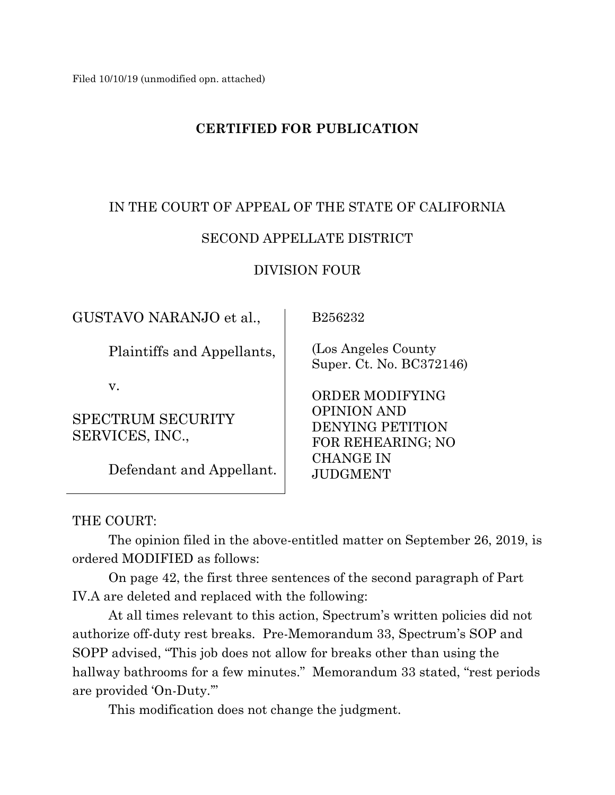# **CERTIFIED FOR PUBLICATION**

# IN THE COURT OF APPEAL OF THE STATE OF CALIFORNIA

# SECOND APPELLATE DISTRICT

## DIVISION FOUR

GUSTAVO NARANJO et al.,

Plaintiffs and Appellants,

v.

SPECTRUM SECURITY SERVICES, INC.,

Defendant and Appellant.

B256232

 (Los Angeles County Super. Ct. No. BC372146)

 ORDER MODIFYING OPINION AND DENYING PETITION FOR REHEARING; NO CHANGE IN JUDGMENT

THE COURT:

The opinion filed in the above-entitled matter on September 26, 2019, is ordered MODIFIED as follows:

On page 42, the first three sentences of the second paragraph of Part IV.A are deleted and replaced with the following:

At all times relevant to this action, Spectrum's written policies did not authorize off-duty rest breaks. Pre-Memorandum 33, Spectrum's SOP and SOPP advised, "This job does not allow for breaks other than using the hallway bathrooms for a few minutes." Memorandum 33 stated, "rest periods" are provided 'On-Duty.'"

This modification does not change the judgment.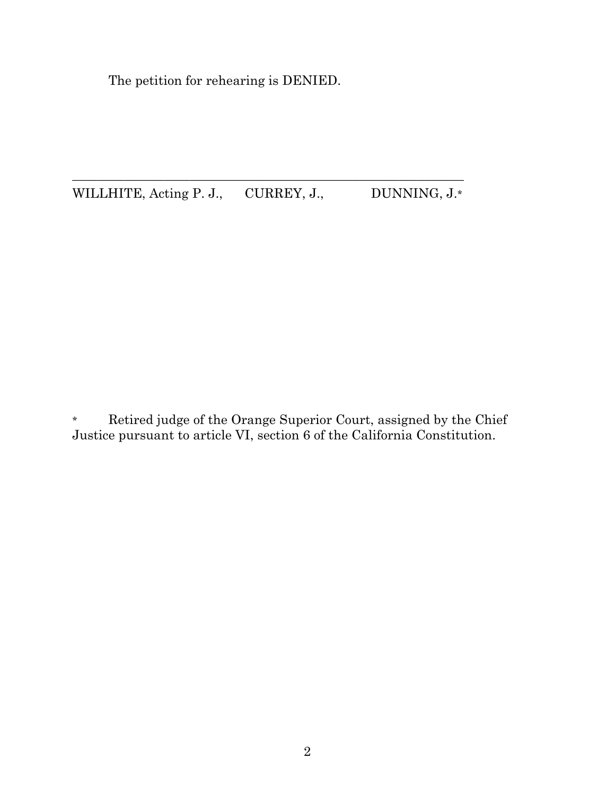The petition for rehearing is DENIED.

 $\_$  ,  $\_$  ,  $\_$  ,  $\_$  ,  $\_$  ,  $\_$  ,  $\_$  ,  $\_$  ,  $\_$  ,  $\_$  ,  $\_$  ,  $\_$  ,  $\_$  ,  $\_$  ,  $\_$  ,  $\_$  ,  $\_$  ,  $\_$  ,  $\_$  ,  $\_$ WILLHITE, Acting P. J., CURREY, J., DUNNING, J.\*

\* Retired judge of the Orange Superior Court, assigned by the Chief Justice pursuant to article VI, section 6 of the California Constitution.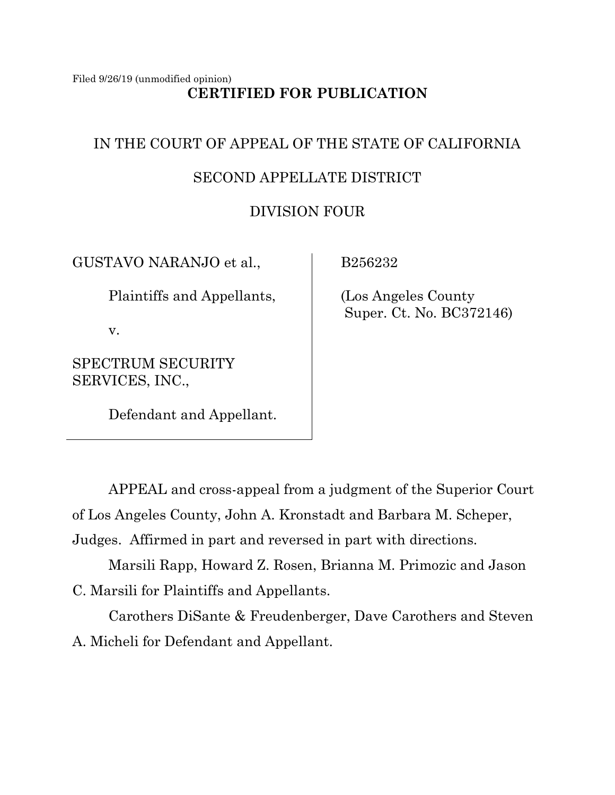Filed 9/26/19 (unmodified opinion) **CERTIFIED FOR PUBLICATION**

# IN THE COURT OF APPEAL OF THE STATE OF CALIFORNIA

# SECOND APPELLATE DISTRICT

# DIVISION FOUR

GUSTAVO NARANJO et al.,

Plaintiffs and Appellants,

v.

SPECTRUM SECURITY SERVICES, INC.,

Defendant and Appellant.

B256232

 (Los Angeles County Super. Ct. No. BC372146)

APPEAL and cross-appeal from a judgment of the Superior Court of Los Angeles County, John A. Kronstadt and Barbara M. Scheper, Judges. Affirmed in part and reversed in part with directions.

Marsili Rapp, Howard Z. Rosen, Brianna M. Primozic and Jason C. Marsili for Plaintiffs and Appellants.

Carothers DiSante & Freudenberger, Dave Carothers and Steven A. Micheli for Defendant and Appellant.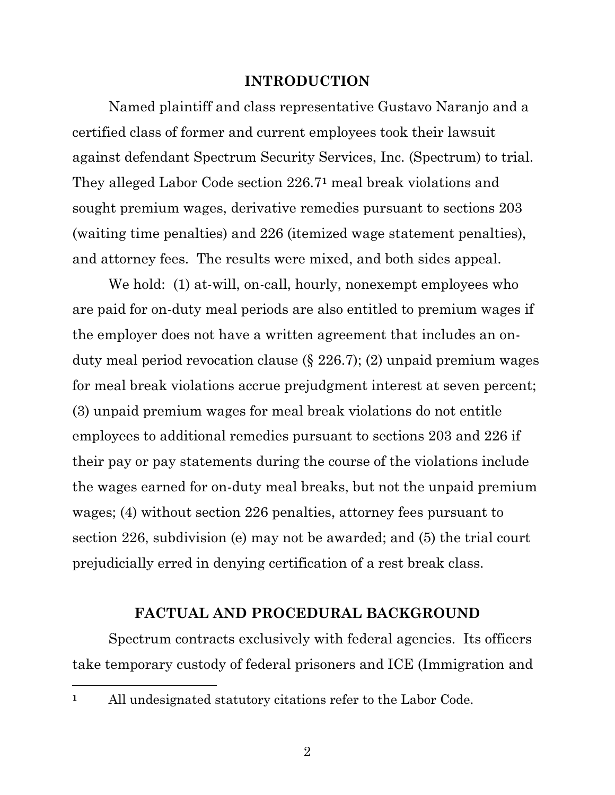#### **INTRODUCTION**

Named plaintiff and class representative Gustavo Naranjo and a certified class of former and current employees took their lawsuit against defendant Spectrum Security Services, Inc. (Spectrum) to trial. They alleged Labor Code section 226.7**<sup>1</sup>** meal break violations and sought premium wages, derivative remedies pursuant to sections 203 (waiting time penalties) and 226 (itemized wage statement penalties), and attorney fees. The results were mixed, and both sides appeal.

We hold: (1) at-will, on-call, hourly, nonexempt employees who are paid for on-duty meal periods are also entitled to premium wages if the employer does not have a written agreement that includes an onduty meal period revocation clause (§ 226.7); (2) unpaid premium wages for meal break violations accrue prejudgment interest at seven percent; (3) unpaid premium wages for meal break violations do not entitle employees to additional remedies pursuant to sections 203 and 226 if their pay or pay statements during the course of the violations include the wages earned for on-duty meal breaks, but not the unpaid premium wages; (4) without section 226 penalties, attorney fees pursuant to section 226, subdivision (e) may not be awarded; and (5) the trial court prejudicially erred in denying certification of a rest break class.

#### **FACTUAL AND PROCEDURAL BACKGROUND**

Spectrum contracts exclusively with federal agencies. Its officers take temporary custody of federal prisoners and ICE (Immigration and

**<sup>1</sup>** All undesignated statutory citations refer to the Labor Code.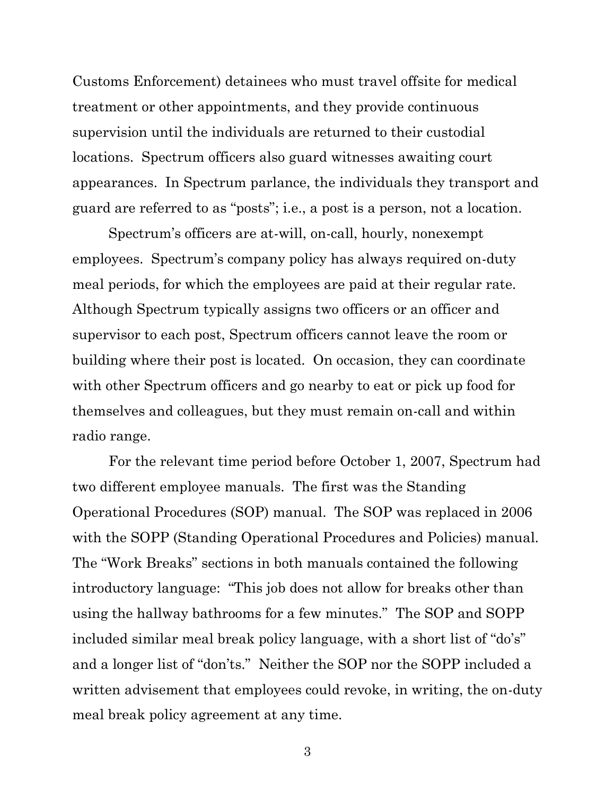Customs Enforcement) detainees who must travel offsite for medical treatment or other appointments, and they provide continuous supervision until the individuals are returned to their custodial locations. Spectrum officers also guard witnesses awaiting court appearances. In Spectrum parlance, the individuals they transport and guard are referred to as "posts"; i.e., a post is a person, not a location.

Spectrum's officers are at-will, on-call, hourly, nonexempt employees. Spectrum's company policy has always required on-duty meal periods, for which the employees are paid at their regular rate. Although Spectrum typically assigns two officers or an officer and supervisor to each post, Spectrum officers cannot leave the room or building where their post is located. On occasion, they can coordinate with other Spectrum officers and go nearby to eat or pick up food for themselves and colleagues, but they must remain on-call and within radio range.

For the relevant time period before October 1, 2007, Spectrum had two different employee manuals. The first was the Standing Operational Procedures (SOP) manual. The SOP was replaced in 2006 with the SOPP (Standing Operational Procedures and Policies) manual. The "Work Breaks" sections in both manuals contained the following introductory language: "This job does not allow for breaks other than using the hallway bathrooms for a few minutes." The SOP and SOPP included similar meal break policy language, with a short list of "do's" and a longer list of "don'ts." Neither the SOP nor the SOPP included a written advisement that employees could revoke, in writing, the on-duty meal break policy agreement at any time.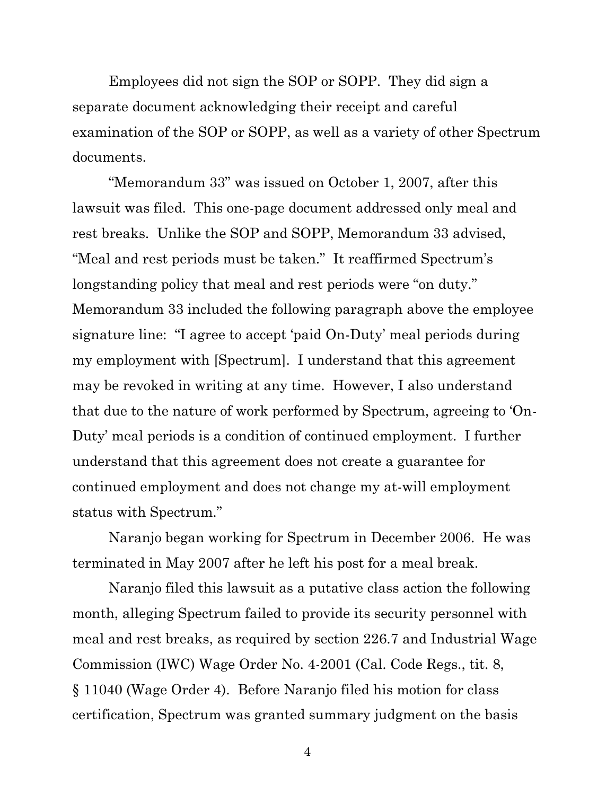Employees did not sign the SOP or SOPP. They did sign a separate document acknowledging their receipt and careful examination of the SOP or SOPP, as well as a variety of other Spectrum documents.

"Memorandum 33" was issued on October 1, 2007, after this lawsuit was filed. This one-page document addressed only meal and rest breaks. Unlike the SOP and SOPP, Memorandum 33 advised, "Meal and rest periods must be taken." It reaffirmed Spectrum's longstanding policy that meal and rest periods were "on duty." Memorandum 33 included the following paragraph above the employee signature line: "I agree to accept 'paid On-Duty' meal periods during my employment with [Spectrum]. I understand that this agreement may be revoked in writing at any time. However, I also understand that due to the nature of work performed by Spectrum, agreeing to 'On-Duty' meal periods is a condition of continued employment. I further understand that this agreement does not create a guarantee for continued employment and does not change my at-will employment status with Spectrum."

Naranjo began working for Spectrum in December 2006. He was terminated in May 2007 after he left his post for a meal break.

Naranjo filed this lawsuit as a putative class action the following month, alleging Spectrum failed to provide its security personnel with meal and rest breaks, as required by section 226.7 and Industrial Wage Commission (IWC) Wage Order No. 4-2001 (Cal. Code Regs., tit. 8, § 11040 (Wage Order 4). Before Naranjo filed his motion for class certification, Spectrum was granted summary judgment on the basis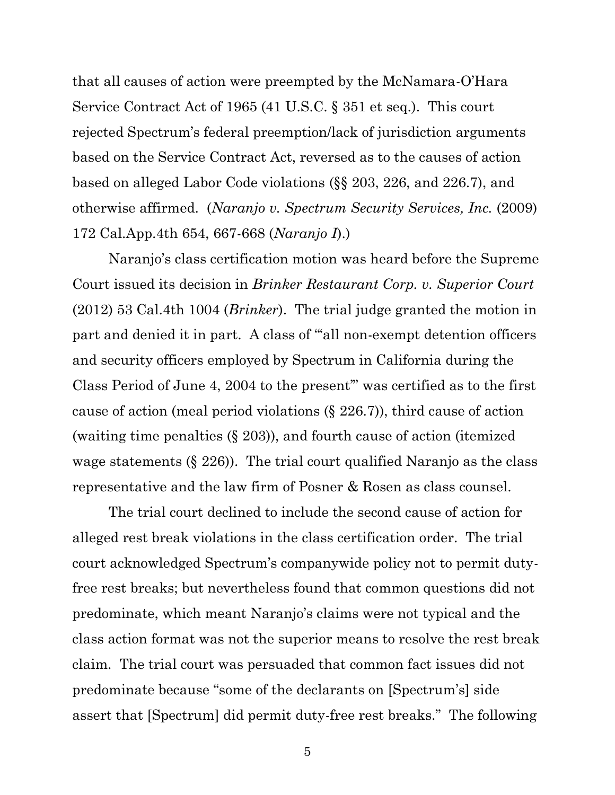that all causes of action were preempted by the McNamara-O'Hara Service Contract Act of 1965 (41 U.S.C. § 351 et seq.). This court rejected Spectrum's federal preemption/lack of jurisdiction arguments based on the Service Contract Act, reversed as to the causes of action based on alleged Labor Code violations (§§ 203, 226, and 226.7), and otherwise affirmed. (*Naranjo v. Spectrum Security Services, Inc.* (2009) 172 Cal.App.4th 654, 667-668 (*Naranjo I*).)

Naranjo's class certification motion was heard before the Supreme Court issued its decision in *Brinker Restaurant Corp. v. Superior Court*  (2012) 53 Cal.4th 1004 (*Brinker*). The trial judge granted the motion in part and denied it in part. A class of "'all non-exempt detention officers and security officers employed by Spectrum in California during the Class Period of June 4, 2004 to the present'" was certified as to the first cause of action (meal period violations (§ 226.7)), third cause of action (waiting time penalties (§ 203)), and fourth cause of action (itemized wage statements (§ 226)). The trial court qualified Naranjo as the class representative and the law firm of Posner & Rosen as class counsel.

The trial court declined to include the second cause of action for alleged rest break violations in the class certification order. The trial court acknowledged Spectrum's companywide policy not to permit dutyfree rest breaks; but nevertheless found that common questions did not predominate, which meant Naranjo's claims were not typical and the class action format was not the superior means to resolve the rest break claim. The trial court was persuaded that common fact issues did not predominate because "some of the declarants on [Spectrum's] side assert that [Spectrum] did permit duty-free rest breaks." The following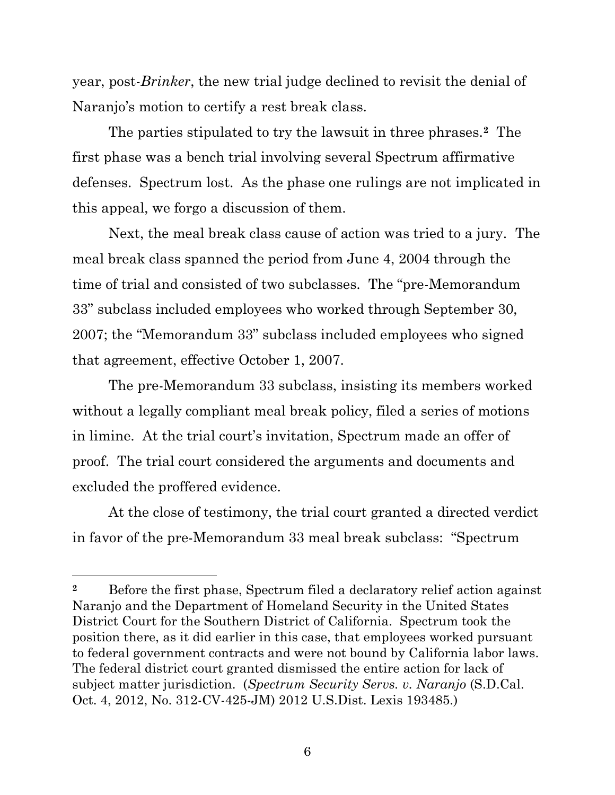year, post-*Brinker*, the new trial judge declined to revisit the denial of Naranjo's motion to certify a rest break class.

The parties stipulated to try the lawsuit in three phrases.**2** The first phase was a bench trial involving several Spectrum affirmative defenses. Spectrum lost. As the phase one rulings are not implicated in this appeal, we forgo a discussion of them.

Next, the meal break class cause of action was tried to a jury. The meal break class spanned the period from June 4, 2004 through the time of trial and consisted of two subclasses. The "pre-Memorandum 33" subclass included employees who worked through September 30, 2007; the "Memorandum 33" subclass included employees who signed that agreement, effective October 1, 2007.

The pre-Memorandum 33 subclass, insisting its members worked without a legally compliant meal break policy, filed a series of motions in limine. At the trial court's invitation, Spectrum made an offer of proof. The trial court considered the arguments and documents and excluded the proffered evidence.

At the close of testimony, the trial court granted a directed verdict in favor of the pre-Memorandum 33 meal break subclass: "Spectrum

**<sup>2</sup>** Before the first phase, Spectrum filed a declaratory relief action against Naranjo and the Department of Homeland Security in the United States District Court for the Southern District of California. Spectrum took the position there, as it did earlier in this case, that employees worked pursuant to federal government contracts and were not bound by California labor laws. The federal district court granted dismissed the entire action for lack of subject matter jurisdiction. (*Spectrum Security Servs. v. Naranjo* (S.D.Cal. Oct. 4, 2012, No. 312-CV-425-JM) 2012 U.S.Dist. Lexis 193485.)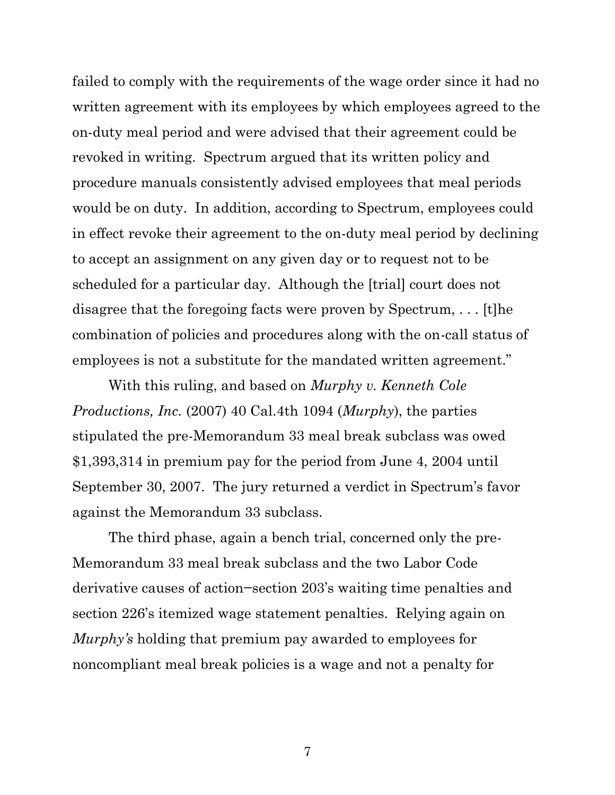failed to comply with the requirements of the wage order since it had no written agreement with its employees by which employees agreed to the on-duty meal period and were advised that their agreement could be revoked in writing. Spectrum argued that its written policy and procedure manuals consistently advised employees that meal periods would be on duty. In addition, according to Spectrum, employees could in effect revoke their agreement to the on-duty meal period by declining to accept an assignment on any given day or to request not to be scheduled for a particular day. Although the [trial] court does not disagree that the foregoing facts were proven by Spectrum, . . . [t]he combination of policies and procedures along with the on-call status of employees is not a substitute for the mandated written agreement."

With this ruling, and based on *Murphy v. Kenneth Cole Productions, Inc.* (2007) 40 Cal.4th 1094 (*Murphy*), the parties stipulated the pre-Memorandum 33 meal break subclass was owed \$1,393,314 in premium pay for the period from June 4, 2004 until September 30, 2007. The jury returned a verdict in Spectrum's favor against the Memorandum 33 subclass.

The third phase, again a bench trial, concerned only the pre-Memorandum 33 meal break subclass and the two Labor Code derivative causes of action−section 203's waiting time penalties and section 226's itemized wage statement penalties. Relying again on *Murphy's* holding that premium pay awarded to employees for noncompliant meal break policies is a wage and not a penalty for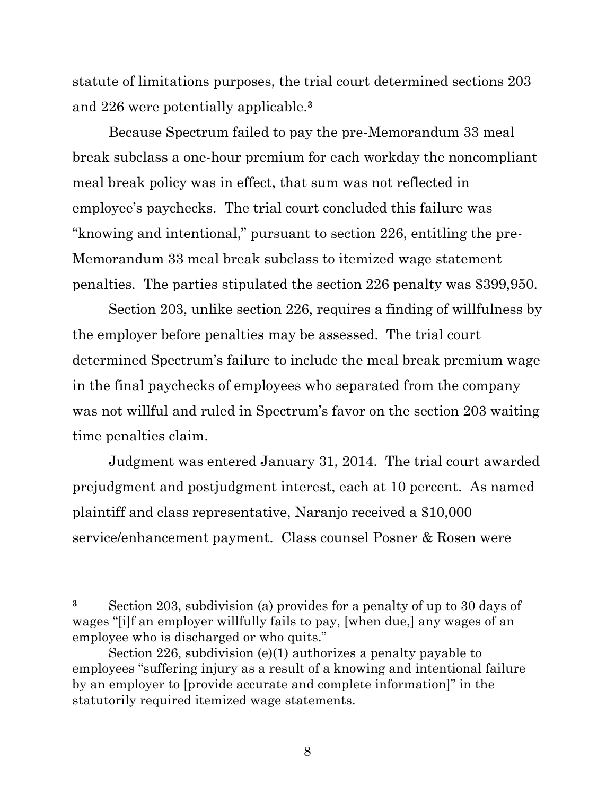statute of limitations purposes, the trial court determined sections 203 and 226 were potentially applicable.**<sup>3</sup>**

Because Spectrum failed to pay the pre-Memorandum 33 meal break subclass a one-hour premium for each workday the noncompliant meal break policy was in effect, that sum was not reflected in employee's paychecks. The trial court concluded this failure was "knowing and intentional," pursuant to section 226, entitling the pre-Memorandum 33 meal break subclass to itemized wage statement penalties. The parties stipulated the section 226 penalty was \$399,950.

Section 203, unlike section 226, requires a finding of willfulness by the employer before penalties may be assessed. The trial court determined Spectrum's failure to include the meal break premium wage in the final paychecks of employees who separated from the company was not willful and ruled in Spectrum's favor on the section 203 waiting time penalties claim.

Judgment was entered January 31, 2014. The trial court awarded prejudgment and postjudgment interest, each at 10 percent. As named plaintiff and class representative, Naranjo received a \$10,000 service/enhancement payment. Class counsel Posner & Rosen were

**<sup>3</sup>** Section 203, subdivision (a) provides for a penalty of up to 30 days of wages "[i]f an employer willfully fails to pay, [when due,] any wages of an employee who is discharged or who quits."

Section 226, subdivision (e)(1) authorizes a penalty payable to employees "suffering injury as a result of a knowing and intentional failure by an employer to [provide accurate and complete information]" in the statutorily required itemized wage statements.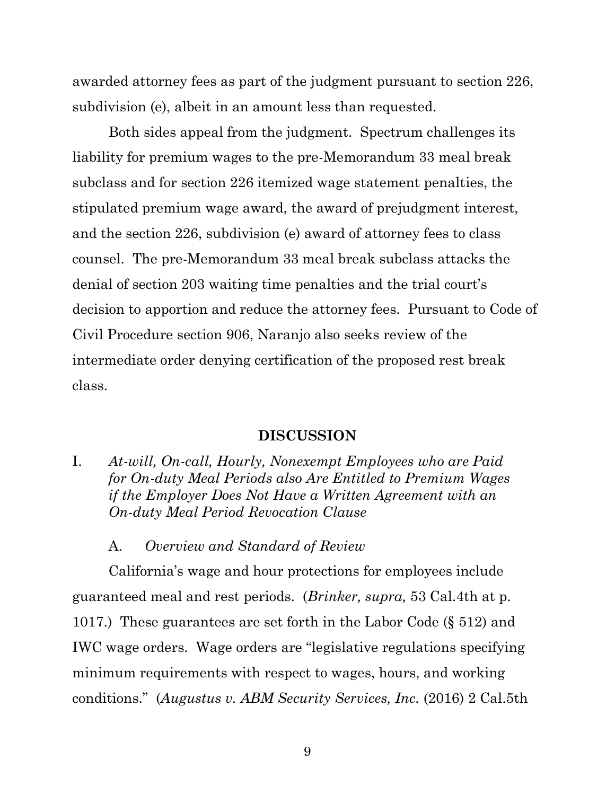awarded attorney fees as part of the judgment pursuant to section 226, subdivision (e), albeit in an amount less than requested.

Both sides appeal from the judgment. Spectrum challenges its liability for premium wages to the pre-Memorandum 33 meal break subclass and for section 226 itemized wage statement penalties, the stipulated premium wage award, the award of prejudgment interest, and the section 226, subdivision (e) award of attorney fees to class counsel. The pre-Memorandum 33 meal break subclass attacks the denial of section 203 waiting time penalties and the trial court's decision to apportion and reduce the attorney fees. Pursuant to Code of Civil Procedure section 906, Naranjo also seeks review of the intermediate order denying certification of the proposed rest break class.

#### **DISCUSSION**

I. *At-will, On-call, Hourly, Nonexempt Employees who are Paid for On-duty Meal Periods also Are Entitled to Premium Wages if the Employer Does Not Have a Written Agreement with an On-duty Meal Period Revocation Clause*

A. *Overview and Standard of Review*

California's wage and hour protections for employees include guaranteed meal and rest periods. (*Brinker, supra,* 53 Cal.4th at p. 1017.) These guarantees are set forth in the Labor Code (§ 512) and IWC wage orders. Wage orders are "legislative regulations specifying minimum requirements with respect to wages, hours, and working conditions." (*Augustus v. ABM Security Services, Inc.* (2016) 2 Cal.5th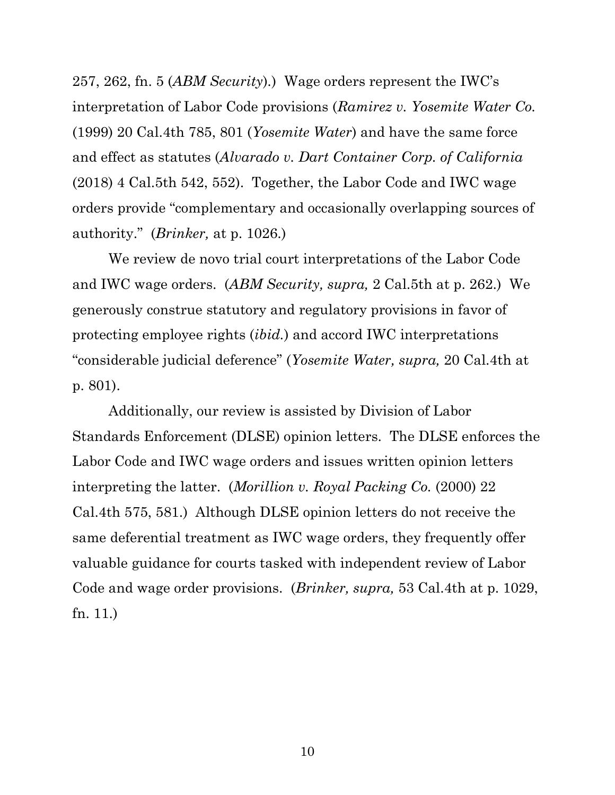257, 262, fn. 5 (*ABM Security*)*.*) Wage orders represent the IWC's interpretation of Labor Code provisions (*Ramirez v. Yosemite Water Co.* (1999) 20 Cal.4th 785, 801 (*Yosemite Water*) and have the same force and effect as statutes (*Alvarado v. Dart Container Corp. of California* (2018) 4 Cal.5th 542, 552). Together, the Labor Code and IWC wage orders provide "complementary and occasionally overlapping sources of authority." (*Brinker,* at p. 1026.)

We review de novo trial court interpretations of the Labor Code and IWC wage orders. (*ABM Security, supra,* 2 Cal.5th at p. 262.) We generously construe statutory and regulatory provisions in favor of protecting employee rights (*ibid.*) and accord IWC interpretations "considerable judicial deference" (*Yosemite Water, supra,* 20 Cal.4th at p. 801).

Additionally, our review is assisted by Division of Labor Standards Enforcement (DLSE) opinion letters. The DLSE enforces the Labor Code and IWC wage orders and issues written opinion letters interpreting the latter. (*Morillion v. Royal Packing Co.* (2000) 22 Cal.4th 575, 581.) Although DLSE opinion letters do not receive the same deferential treatment as IWC wage orders, they frequently offer valuable guidance for courts tasked with independent review of Labor Code and wage order provisions. (*Brinker, supra,* 53 Cal.4th at p. 1029, fn. 11.)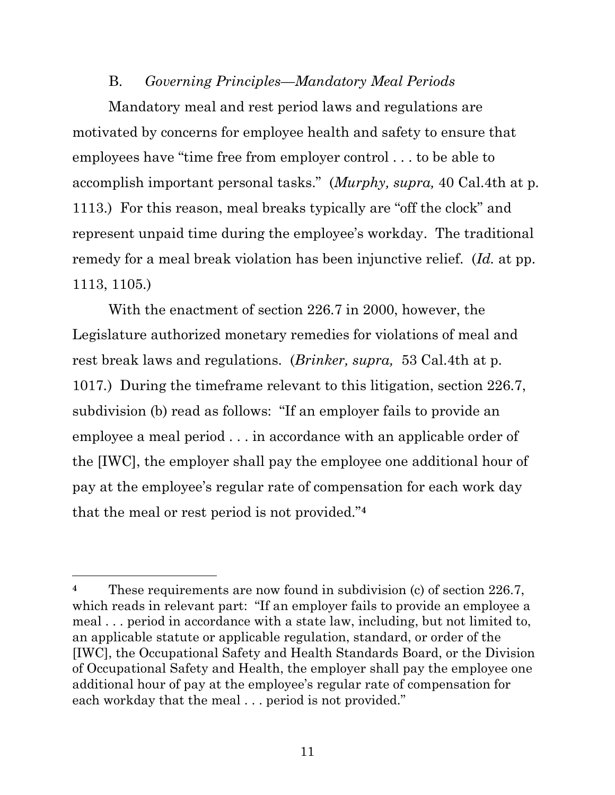#### B. *Governing Principles—Mandatory Meal Periods*

Mandatory meal and rest period laws and regulations are motivated by concerns for employee health and safety to ensure that employees have "time free from employer control . . . to be able to accomplish important personal tasks." (*Murphy, supra,* 40 Cal.4th at p. 1113.) For this reason, meal breaks typically are "off the clock" and represent unpaid time during the employee's workday. The traditional remedy for a meal break violation has been injunctive relief. (*Id.* at pp. 1113, 1105.)

With the enactment of section 226.7 in 2000, however, the Legislature authorized monetary remedies for violations of meal and rest break laws and regulations. (*Brinker, supra,* 53 Cal.4th at p. 1017*.*) During the timeframe relevant to this litigation, section 226.7, subdivision (b) read as follows: "If an employer fails to provide an employee a meal period . . . in accordance with an applicable order of the [IWC], the employer shall pay the employee one additional hour of pay at the employee's regular rate of compensation for each work day that the meal or rest period is not provided."**<sup>4</sup>**

<sup>&</sup>lt;sup>4</sup> These requirements are now found in subdivision (c) of section 226.7, which reads in relevant part: "If an employer fails to provide an employee a meal . . . period in accordance with a state law, including, but not limited to, an applicable statute or applicable regulation, standard, or order of the [IWC], the Occupational Safety and Health Standards Board, or the Division of Occupational Safety and Health, the employer shall pay the employee one additional hour of pay at the employee's regular rate of compensation for each workday that the meal ... period is not provided."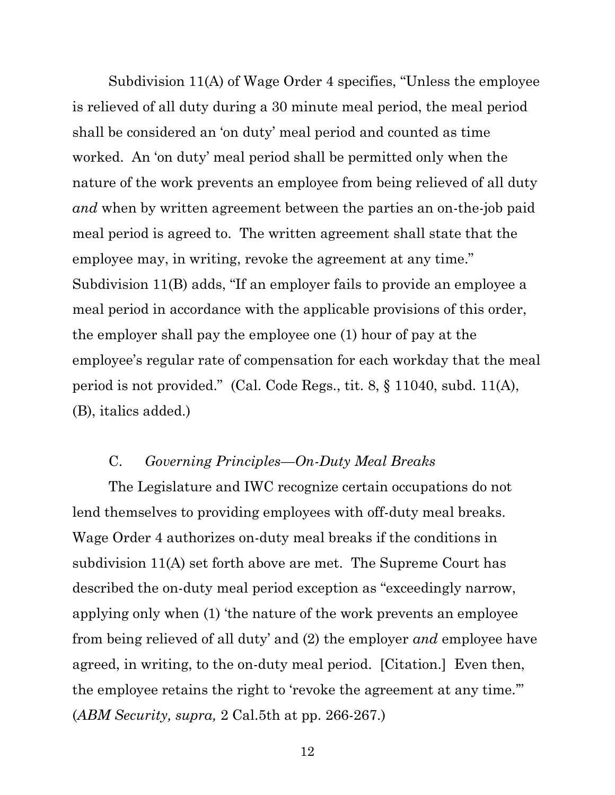Subdivision 11(A) of Wage Order 4 specifies, "Unless the employee is relieved of all duty during a 30 minute meal period, the meal period shall be considered an 'on duty' meal period and counted as time worked. An 'on duty' meal period shall be permitted only when the nature of the work prevents an employee from being relieved of all duty *and* when by written agreement between the parties an on-the-job paid meal period is agreed to. The written agreement shall state that the employee may, in writing, revoke the agreement at any time." Subdivision 11(B) adds, "If an employer fails to provide an employee a meal period in accordance with the applicable provisions of this order, the employer shall pay the employee one (1) hour of pay at the employee's regular rate of compensation for each workday that the meal period is not provided." (Cal. Code Regs., tit. 8, § 11040, subd. 11(A), (B), italics added.)

## C. *Governing Principles—On-Duty Meal Breaks*

The Legislature and IWC recognize certain occupations do not lend themselves to providing employees with off-duty meal breaks. Wage Order 4 authorizes on-duty meal breaks if the conditions in subdivision 11(A) set forth above are met. The Supreme Court has described the on-duty meal period exception as "exceedingly narrow, applying only when (1) 'the nature of the work prevents an employee from being relieved of all duty' and (2) the employer *and* employee have agreed, in writing, to the on-duty meal period. [Citation.] Even then, the employee retains the right to 'revoke the agreement at any time.'" (*ABM Security, supra,* 2 Cal.5th at pp. 266-267.)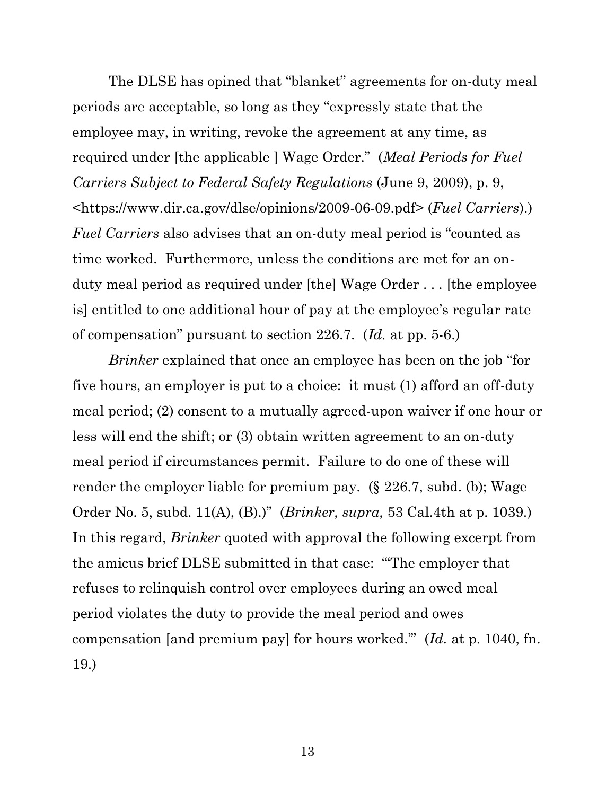The DLSE has opined that "blanket" agreements for on-duty meal periods are acceptable, so long as they "expressly state that the employee may, in writing, revoke the agreement at any time, as required under [the applicable ] Wage Order." (*Meal Periods for Fuel Carriers Subject to Federal Safety Regulations* (June 9, 2009), p. 9, <https://www.dir.ca.gov/dlse/opinions/2009-06-09.pdf> (*Fuel Carriers*).) *Fuel Carriers* also advises that an on-duty meal period is "counted as time worked. Furthermore, unless the conditions are met for an onduty meal period as required under [the] Wage Order . . . [the employee is] entitled to one additional hour of pay at the employee's regular rate of compensation" pursuant to section 226.7. (*Id.* at pp. 5-6.)

*Brinker* explained that once an employee has been on the job "for five hours, an employer is put to a choice: it must (1) afford an off-duty meal period; (2) consent to a mutually agreed-upon waiver if one hour or less will end the shift; or (3) obtain written agreement to an on-duty meal period if circumstances permit. Failure to do one of these will render the employer liable for premium pay. (§ 226.7, subd. (b); Wage Order No. 5, subd. 11(A), (B).)" (*Brinker, supra,* 53 Cal.4th at p. 1039.) In this regard, *Brinker* quoted with approval the following excerpt from the amicus brief DLSE submitted in that case: "'The employer that refuses to relinquish control over employees during an owed meal period violates the duty to provide the meal period and owes compensation [and premium pay] for hours worked.'" (*Id.* at p. 1040, fn. 19.)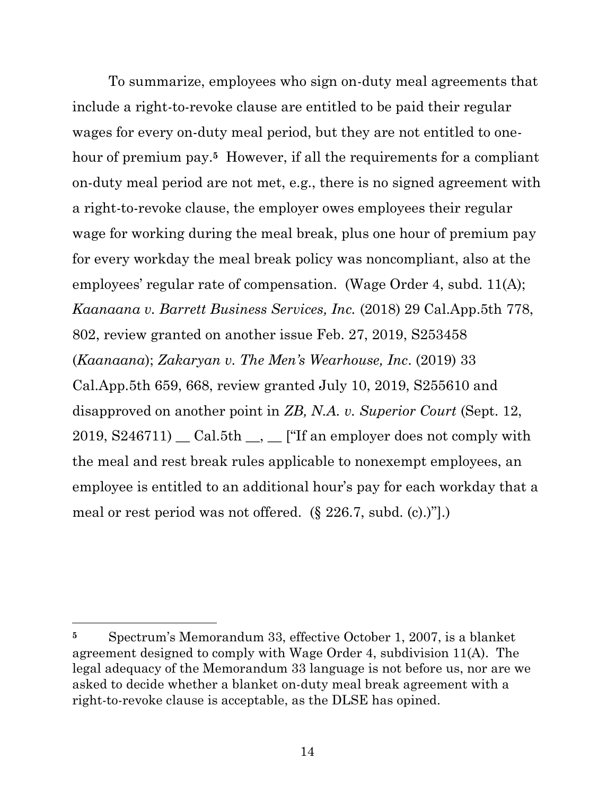To summarize, employees who sign on-duty meal agreements that include a right-to-revoke clause are entitled to be paid their regular wages for every on-duty meal period, but they are not entitled to onehour of premium pay.**5** However, if all the requirements for a compliant on-duty meal period are not met, e.g., there is no signed agreement with a right-to-revoke clause, the employer owes employees their regular wage for working during the meal break, plus one hour of premium pay for every workday the meal break policy was noncompliant, also at the employees' regular rate of compensation. (Wage Order 4, subd. 11(A); *Kaanaana v. Barrett Business Services, Inc.* (2018) 29 Cal.App.5th 778, 802, review granted on another issue Feb. 27, 2019, S253458 (*Kaanaana*); *Zakaryan v. The Men's Wearhouse, Inc*. (2019) 33 Cal.App.5th 659, 668, review granted July 10, 2019, S255610 and disapproved on another point in *ZB, N.A. v. Superior Court* (Sept. 12,  $2019, S246711$   $\_$  Cal.5th  $\_$ ,  $\_$  ["If an employer does not comply with the meal and rest break rules applicable to nonexempt employees, an employee is entitled to an additional hour's pay for each workday that a meal or rest period was not offered. (§ 226.7, subd. (c).)"].)

**<sup>5</sup>** Spectrum's Memorandum 33, effective October 1, 2007, is a blanket agreement designed to comply with Wage Order 4, subdivision 11(A). The legal adequacy of the Memorandum 33 language is not before us, nor are we asked to decide whether a blanket on-duty meal break agreement with a right-to-revoke clause is acceptable, as the DLSE has opined.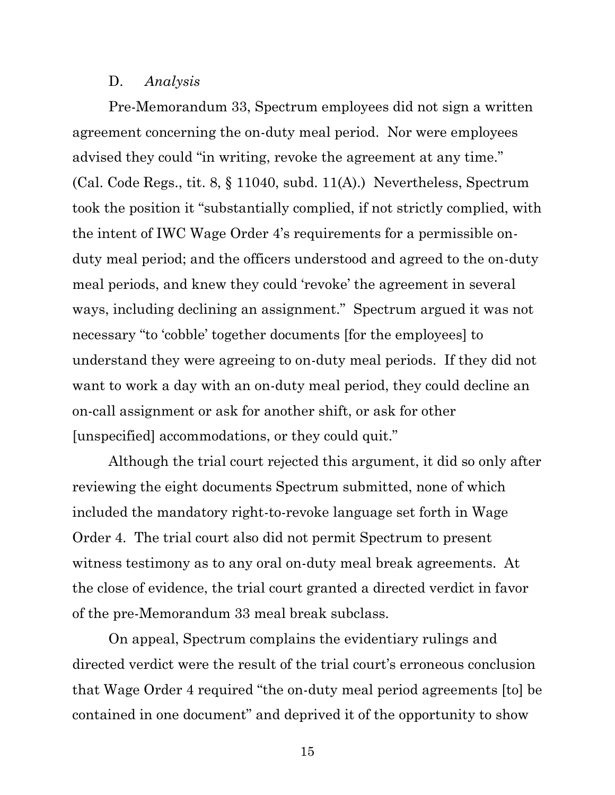### D. *Analysis*

Pre-Memorandum 33, Spectrum employees did not sign a written agreement concerning the on-duty meal period. Nor were employees advised they could "in writing, revoke the agreement at any time." (Cal. Code Regs., tit. 8, § 11040, subd. 11(A).) Nevertheless, Spectrum took the position it "substantially complied, if not strictly complied, with the intent of IWC Wage Order 4's requirements for a permissible onduty meal period; and the officers understood and agreed to the on-duty meal periods, and knew they could 'revoke' the agreement in several ways, including declining an assignment." Spectrum argued it was not necessary "to 'cobble' together documents [for the employees] to understand they were agreeing to on-duty meal periods. If they did not want to work a day with an on-duty meal period, they could decline an on-call assignment or ask for another shift, or ask for other [unspecified] accommodations, or they could quit."

Although the trial court rejected this argument, it did so only after reviewing the eight documents Spectrum submitted, none of which included the mandatory right-to-revoke language set forth in Wage Order 4. The trial court also did not permit Spectrum to present witness testimony as to any oral on-duty meal break agreements. At the close of evidence, the trial court granted a directed verdict in favor of the pre-Memorandum 33 meal break subclass.

On appeal, Spectrum complains the evidentiary rulings and directed verdict were the result of the trial court's erroneous conclusion that Wage Order 4 required "the on-duty meal period agreements [to] be contained in one document" and deprived it of the opportunity to show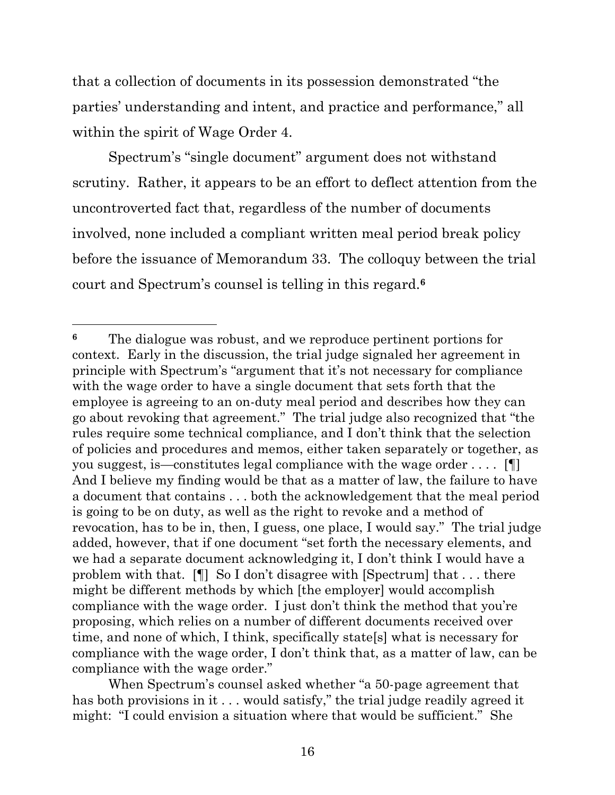that a collection of documents in its possession demonstrated "the parties' understanding and intent, and practice and performance," all within the spirit of Wage Order 4.

Spectrum's "single document" argument does not withstand scrutiny. Rather, it appears to be an effort to deflect attention from the uncontroverted fact that, regardless of the number of documents involved, none included a compliant written meal period break policy before the issuance of Memorandum 33. The colloquy between the trial court and Spectrum's counsel is telling in this regard.**<sup>6</sup>**

**<sup>6</sup>** The dialogue was robust, and we reproduce pertinent portions for context. Early in the discussion, the trial judge signaled her agreement in principle with Spectrum's "argument that it's not necessary for compliance with the wage order to have a single document that sets forth that the employee is agreeing to an on-duty meal period and describes how they can go about revoking that agreement." The trial judge also recognized that "the rules require some technical compliance, and I don't think that the selection of policies and procedures and memos, either taken separately or together, as you suggest, is—constitutes legal compliance with the wage order . . . . [¶] And I believe my finding would be that as a matter of law, the failure to have a document that contains . . . both the acknowledgement that the meal period is going to be on duty, as well as the right to revoke and a method of revocation, has to be in, then, I guess, one place, I would say." The trial judge added, however, that if one document "set forth the necessary elements, and we had a separate document acknowledging it, I don't think I would have a problem with that. [¶] So I don't disagree with [Spectrum] that . . . there might be different methods by which [the employer] would accomplish compliance with the wage order. I just don't think the method that you're proposing, which relies on a number of different documents received over time, and none of which, I think, specifically state[s] what is necessary for compliance with the wage order, I don't think that, as a matter of law, can be compliance with the wage order."

When Spectrum's counsel asked whether "a 50-page agreement that has both provisions in it . . . would satisfy," the trial judge readily agreed it might: "I could envision a situation where that would be sufficient." She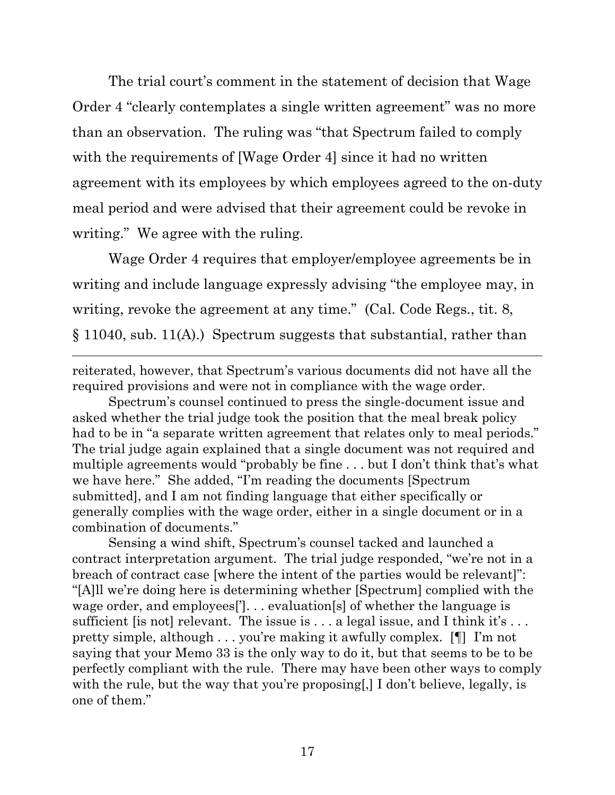The trial court's comment in the statement of decision that Wage Order 4 "clearly contemplates a single written agreement" was no more than an observation. The ruling was "that Spectrum failed to comply with the requirements of [Wage Order 4] since it had no written agreement with its employees by which employees agreed to the on-duty meal period and were advised that their agreement could be revoke in writing." We agree with the ruling.

Wage Order 4 requires that employer/employee agreements be in writing and include language expressly advising "the employee may, in writing, revoke the agreement at any time." (Cal. Code Regs., tit. 8, § 11040, sub. 11(A).) Spectrum suggests that substantial, rather than

reiterated, however, that Spectrum's various documents did not have all the required provisions and were not in compliance with the wage order.

Spectrum's counsel continued to press the single-document issue and asked whether the trial judge took the position that the meal break policy had to be in "a separate written agreement that relates only to meal periods." The trial judge again explained that a single document was not required and multiple agreements would "probably be fine . . . but I don't think that's what we have here." She added, "I'm reading the documents [Spectrum submitted], and I am not finding language that either specifically or generally complies with the wage order, either in a single document or in a combination of documents."

Sensing a wind shift, Spectrum's counsel tacked and launched a contract interpretation argument. The trial judge responded, "we're not in a breach of contract case [where the intent of the parties would be relevant]": "[A]ll we're doing here is determining whether [Spectrum] complied with the wage order, and employees[']. . . evaluation[s] of whether the language is sufficient [is not] relevant. The issue is  $\dots$  a legal issue, and I think it's  $\dots$ pretty simple, although . . . you're making it awfully complex. [¶] I'm not saying that your Memo 33 is the only way to do it, but that seems to be to be perfectly compliant with the rule. There may have been other ways to comply with the rule, but the way that you're proposing, I don't believe, legally, is one of them."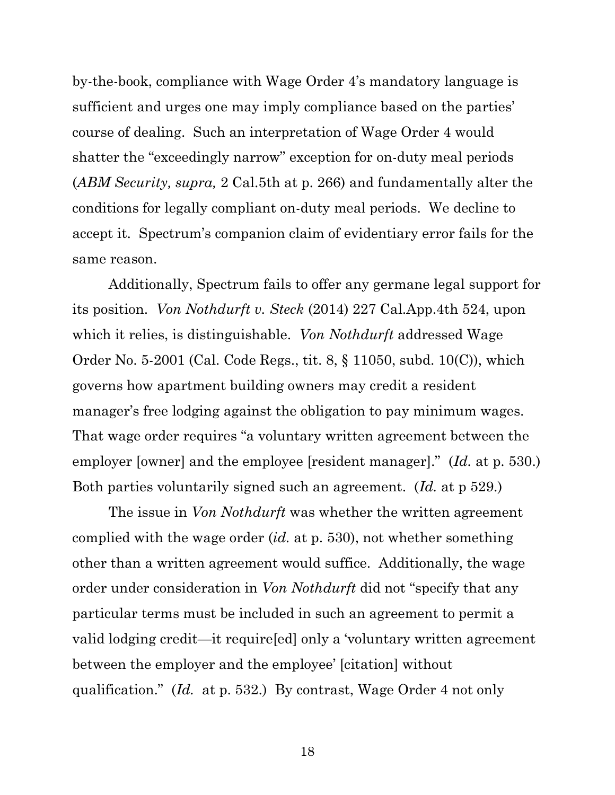by-the-book, compliance with Wage Order 4's mandatory language is sufficient and urges one may imply compliance based on the parties' course of dealing. Such an interpretation of Wage Order 4 would shatter the "exceedingly narrow" exception for on-duty meal periods (*ABM Security, supra,* 2 Cal.5th at p. 266) and fundamentally alter the conditions for legally compliant on-duty meal periods. We decline to accept it. Spectrum's companion claim of evidentiary error fails for the same reason.

Additionally, Spectrum fails to offer any germane legal support for its position. *Von Nothdurft v. Steck* (2014) 227 Cal.App.4th 524, upon which it relies, is distinguishable. *Von Nothdurft* addressed Wage Order No. 5-2001 (Cal. Code Regs., tit. 8, § 11050, subd. 10(C)), which governs how apartment building owners may credit a resident manager's free lodging against the obligation to pay minimum wages. That wage order requires "a voluntary written agreement between the employer [owner] and the employee [resident manager]." (*Id.* at p. 530.) Both parties voluntarily signed such an agreement. (*Id.* at p 529.)

The issue in *Von Nothdurft* was whether the written agreement complied with the wage order (*id.* at p. 530), not whether something other than a written agreement would suffice. Additionally, the wage order under consideration in *Von Nothdurft* did not "specify that any particular terms must be included in such an agreement to permit a valid lodging credit—it require[ed] only a 'voluntary written agreement between the employer and the employee' [citation] without qualification." (*Id.* at p. 532.) By contrast, Wage Order 4 not only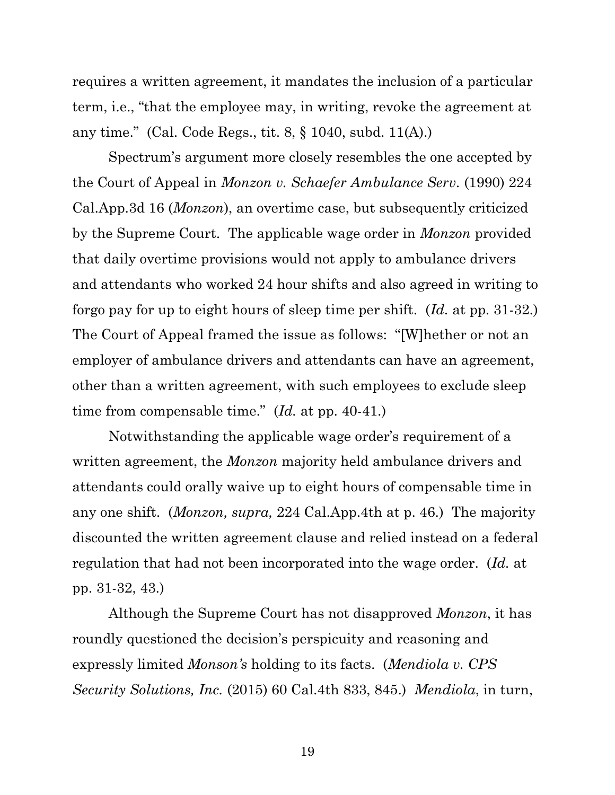requires a written agreement, it mandates the inclusion of a particular term, i.e., "that the employee may, in writing, revoke the agreement at any time." (Cal. Code Regs., tit. 8, § 1040, subd. 11(A).)

Spectrum's argument more closely resembles the one accepted by the Court of Appeal in *Monzon v. Schaefer Ambulance Serv.* (1990) 224 Cal.App.3d 16 (*Monzon*), an overtime case, but subsequently criticized by the Supreme Court. The applicable wage order in *Monzon* provided that daily overtime provisions would not apply to ambulance drivers and attendants who worked 24 hour shifts and also agreed in writing to forgo pay for up to eight hours of sleep time per shift. (*Id.* at pp. 31-32.) The Court of Appeal framed the issue as follows: "[W]hether or not an employer of ambulance drivers and attendants can have an agreement, other than a written agreement, with such employees to exclude sleep time from compensable time." (*Id.* at pp. 40-41.)

Notwithstanding the applicable wage order's requirement of a written agreement, the *Monzon* majority held ambulance drivers and attendants could orally waive up to eight hours of compensable time in any one shift. (*Monzon, supra,* 224 Cal.App.4th at p. 46.) The majority discounted the written agreement clause and relied instead on a federal regulation that had not been incorporated into the wage order. (*Id.* at pp. 31-32, 43.)

Although the Supreme Court has not disapproved *Monzon*, it has roundly questioned the decision's perspicuity and reasoning and expressly limited *Monson's* holding to its facts. (*Mendiola v. CPS Security Solutions, Inc.* (2015) 60 Cal.4th 833, 845.) *Mendiola*, in turn,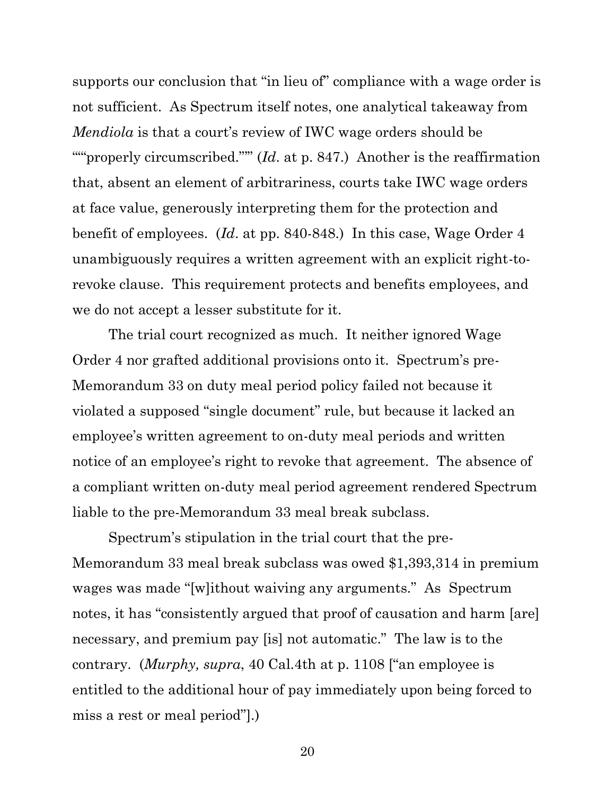supports our conclusion that "in lieu of" compliance with a wage order is not sufficient. As Spectrum itself notes, one analytical takeaway from *Mendiola* is that a court's review of IWC wage orders should be """properly circumscribed.""" (*Id.* at p. 847.) Another is the reaffirmation that, absent an element of arbitrariness, courts take IWC wage orders at face value, generously interpreting them for the protection and benefit of employees. (*Id*. at pp. 840-848.) In this case, Wage Order 4 unambiguously requires a written agreement with an explicit right-torevoke clause. This requirement protects and benefits employees, and we do not accept a lesser substitute for it.

The trial court recognized as much. It neither ignored Wage Order 4 nor grafted additional provisions onto it. Spectrum's pre-Memorandum 33 on duty meal period policy failed not because it violated a supposed "single document" rule, but because it lacked an employee's written agreement to on-duty meal periods and written notice of an employee's right to revoke that agreement. The absence of a compliant written on-duty meal period agreement rendered Spectrum liable to the pre-Memorandum 33 meal break subclass.

Spectrum's stipulation in the trial court that the pre-Memorandum 33 meal break subclass was owed \$1,393,314 in premium wages was made "[w]ithout waiving any arguments." As Spectrum notes, it has "consistently argued that proof of causation and harm [are] necessary, and premium pay [is] not automatic." The law is to the contrary. (*Murphy, supra*, 40 Cal.4th at p. 1108 ["an employee is entitled to the additional hour of pay immediately upon being forced to miss a rest or meal period"].)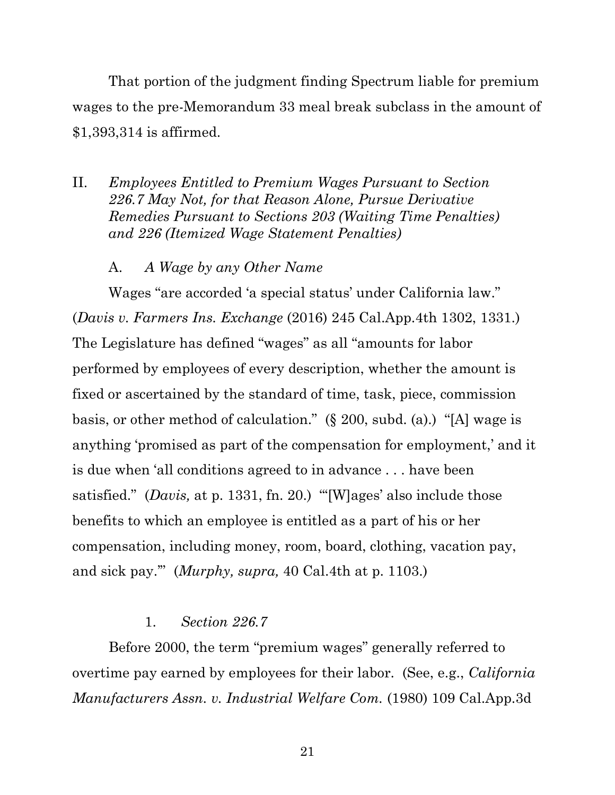That portion of the judgment finding Spectrum liable for premium wages to the pre-Memorandum 33 meal break subclass in the amount of \$1,393,314 is affirmed.

- II. *Employees Entitled to Premium Wages Pursuant to Section 226.7 May Not, for that Reason Alone, Pursue Derivative Remedies Pursuant to Sections 203 (Waiting Time Penalties) and 226 (Itemized Wage Statement Penalties)*
	- A. *A Wage by any Other Name*

Wages "are accorded 'a special status' under California law." (*Davis v. Farmers Ins. Exchange* (2016) 245 Cal.App.4th 1302, 1331.) The Legislature has defined "wages" as all "amounts for labor performed by employees of every description, whether the amount is fixed or ascertained by the standard of time, task, piece, commission basis, or other method of calculation." (§ 200, subd. (a).) "[A] wage is anything 'promised as part of the compensation for employment,' and it is due when 'all conditions agreed to in advance . . . have been satisfied." (*Davis,* at p. 1331, fn. 20.) "'[W]ages' also include those benefits to which an employee is entitled as a part of his or her compensation, including money, room, board, clothing, vacation pay, and sick pay.'" (*Murphy, supra,* 40 Cal.4th at p. 1103.)

#### 1. *Section 226.7*

Before 2000, the term "premium wages" generally referred to overtime pay earned by employees for their labor. (See, e.g., *California Manufacturers Assn. v. Industrial Welfare Com.* (1980) 109 Cal.App.3d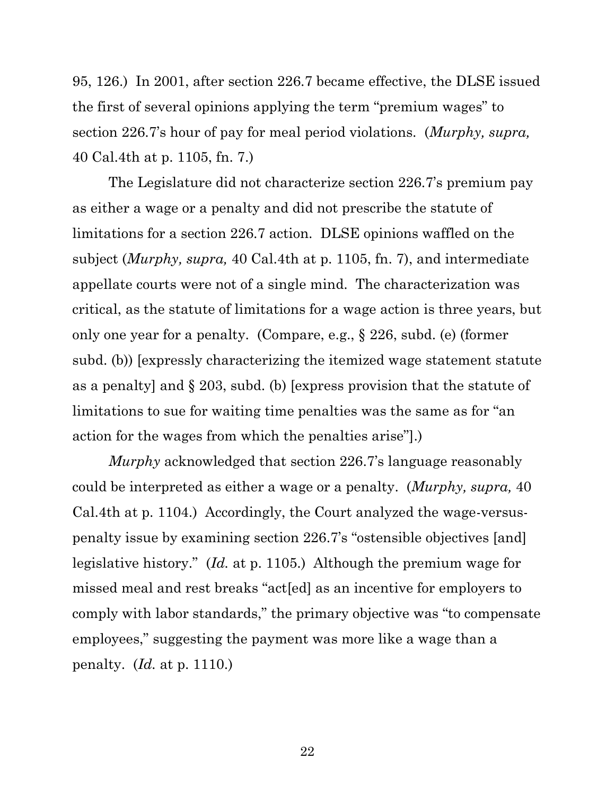95, 126.) In 2001, after section 226.7 became effective, the DLSE issued the first of several opinions applying the term "premium wages" to section 226.7's hour of pay for meal period violations. (*Murphy, supra,*  40 Cal.4th at p. 1105, fn. 7.)

The Legislature did not characterize section 226.7's premium pay as either a wage or a penalty and did not prescribe the statute of limitations for a section 226.7 action. DLSE opinions waffled on the subject (*Murphy, supra,* 40 Cal.4th at p. 1105, fn. 7), and intermediate appellate courts were not of a single mind. The characterization was critical, as the statute of limitations for a wage action is three years, but only one year for a penalty. (Compare, e.g., § 226, subd. (e) (former subd. (b)) [expressly characterizing the itemized wage statement statute as a penalty] and § 203, subd. (b) [express provision that the statute of limitations to sue for waiting time penalties was the same as for "an action for the wages from which the penalties arise"].)

*Murphy* acknowledged that section 226.7's language reasonably could be interpreted as either a wage or a penalty. (*Murphy, supra,* 40 Cal.4th at p. 1104.) Accordingly, the Court analyzed the wage-versuspenalty issue by examining section 226.7's "ostensible objectives [and] legislative history." (*Id.* at p. 1105.) Although the premium wage for missed meal and rest breaks "act[ed] as an incentive for employers to comply with labor standards," the primary objective was "to compensate employees," suggesting the payment was more like a wage than a penalty. (*Id.* at p. 1110.)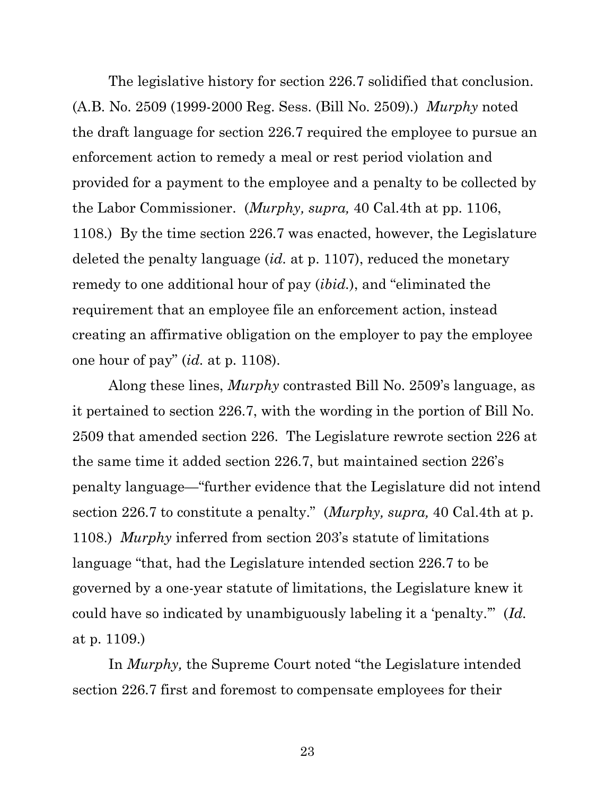The legislative history for section 226.7 solidified that conclusion. (A.B. No. 2509 (1999-2000 Reg. Sess. (Bill No. 2509).) *Murphy* noted the draft language for section 226.7 required the employee to pursue an enforcement action to remedy a meal or rest period violation and provided for a payment to the employee and a penalty to be collected by the Labor Commissioner. (*Murphy, supra,* 40 Cal.4th at pp. 1106, 1108.) By the time section 226.7 was enacted, however, the Legislature deleted the penalty language (*id.* at p. 1107), reduced the monetary remedy to one additional hour of pay (*ibid.*), and "eliminated the requirement that an employee file an enforcement action, instead creating an affirmative obligation on the employer to pay the employee one hour of pay" (*id.* at p. 1108).

Along these lines, *Murphy* contrasted Bill No. 2509's language, as it pertained to section 226.7, with the wording in the portion of Bill No. 2509 that amended section 226. The Legislature rewrote section 226 at the same time it added section 226.7, but maintained section 226's penalty language—"further evidence that the Legislature did not intend section 226.7 to constitute a penalty." (*Murphy, supra,* 40 Cal.4th at p. 1108.) *Murphy* inferred from section 203's statute of limitations language "that, had the Legislature intended section 226.7 to be governed by a one-year statute of limitations, the Legislature knew it could have so indicated by unambiguously labeling it a 'penalty.'" (*Id.*  at p. 1109.)

In *Murphy,* the Supreme Court noted "the Legislature intended section 226.7 first and foremost to compensate employees for their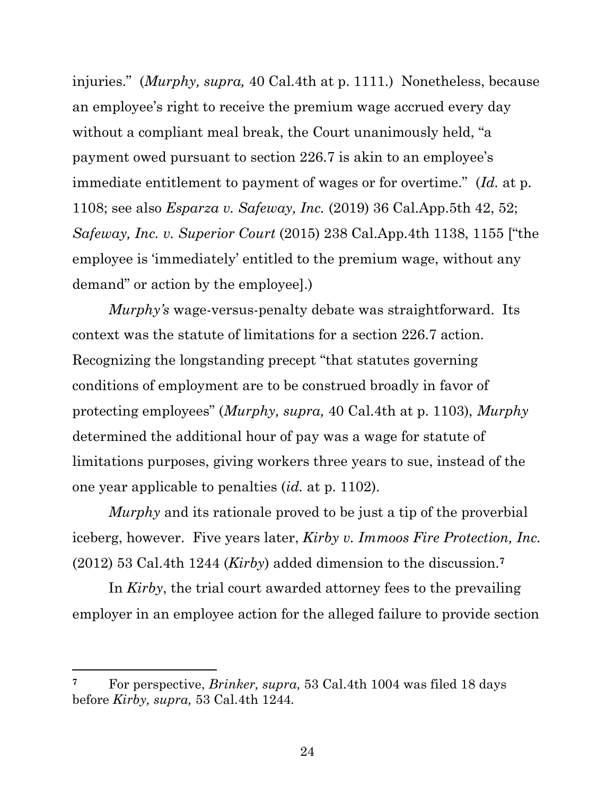injuries." (*Murphy, supra,* 40 Cal.4th at p. 1111.) Nonetheless, because an employee's right to receive the premium wage accrued every day without a compliant meal break, the Court unanimously held, "a payment owed pursuant to section 226.7 is akin to an employee's immediate entitlement to payment of wages or for overtime." (*Id.* at p. 1108; see also *Esparza v. Safeway, Inc.* (2019) 36 Cal.App.5th 42, 52; *Safeway, Inc. v. Superior Court* (2015) 238 Cal.App.4th 1138, 1155 ["the employee is 'immediately' entitled to the premium wage, without any demand" or action by the employee].)

*Murphy's* wage-versus-penalty debate was straightforward. Its context was the statute of limitations for a section 226.7 action. Recognizing the longstanding precept "that statutes governing conditions of employment are to be construed broadly in favor of protecting employees" (*Murphy, supra,* 40 Cal.4th at p. 1103), *Murphy*  determined the additional hour of pay was a wage for statute of limitations purposes, giving workers three years to sue, instead of the one year applicable to penalties (*id.* at p. 1102).

*Murphy* and its rationale proved to be just a tip of the proverbial iceberg, however. Five years later, *Kirby v. Immoos Fire Protection, Inc.* (2012) 53 Cal.4th 1244 (*Kirby*) added dimension to the discussion.**<sup>7</sup>**

In *Kirby*, the trial court awarded attorney fees to the prevailing employer in an employee action for the alleged failure to provide section

**<sup>7</sup>** For perspective, *Brinker, supra,* 53 Cal.4th 1004 was filed 18 days before *Kirby, supra,* 53 Cal.4th 1244*.*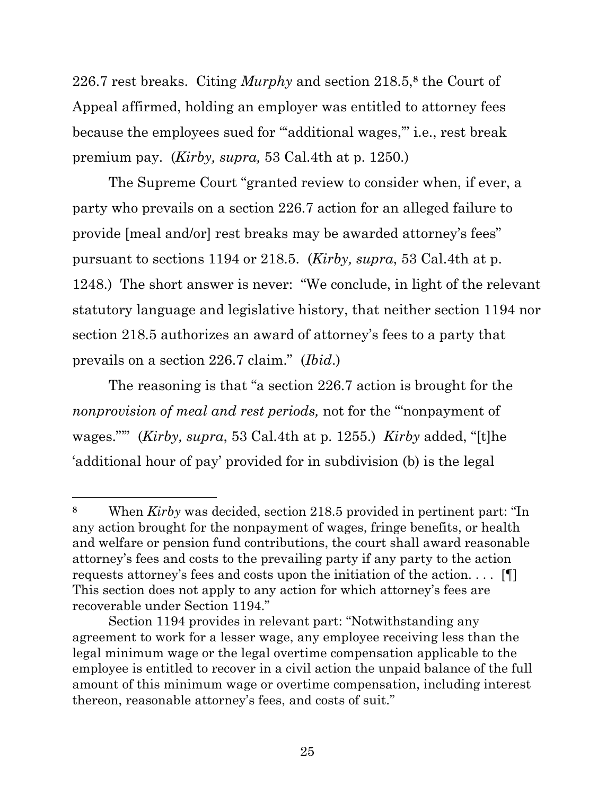226.7 rest breaks. Citing *Murphy* and section 218.5,**<sup>8</sup>** the Court of Appeal affirmed, holding an employer was entitled to attorney fees because the employees sued for "'additional wages,'" i.e., rest break premium pay. (*Kirby, supra,* 53 Cal.4th at p. 1250.)

The Supreme Court "granted review to consider when, if ever, a party who prevails on a section 226.7 action for an alleged failure to provide [meal and/or] rest breaks may be awarded attorney's fees" pursuant to sections 1194 or 218.5. (*Kirby, supra*, 53 Cal.4th at p. 1248.) The short answer is never: "We conclude, in light of the relevant statutory language and legislative history, that neither section 1194 nor section 218.5 authorizes an award of attorney's fees to a party that prevails on a section 226.7 claim." (*Ibid*.)

The reasoning is that "a section 226.7 action is brought for the *nonprovision of meal and rest periods,* not for the '"nonpayment of wages."'" (*Kirby, supra*, 53 Cal.4th at p. 1255.) *Kirby* added, "[t]he 'additional hour of pay' provided for in subdivision (b) is the legal

**<sup>8</sup>** When *Kirby* was decided, section 218.5 provided in pertinent part: "In any action brought for the nonpayment of wages, fringe benefits, or health and welfare or pension fund contributions, the court shall award reasonable attorney's fees and costs to the prevailing party if any party to the action requests attorney's fees and costs upon the initiation of the action. . . . [¶] This section does not apply to any action for which attorney's fees are recoverable under Section 1194."

Section 1194 provides in relevant part: "Notwithstanding any agreement to work for a lesser wage, any employee receiving less than the legal minimum wage or the legal overtime compensation applicable to the employee is entitled to recover in a civil action the unpaid balance of the full amount of this minimum wage or overtime compensation, including interest thereon, reasonable attorney's fees, and costs of suit."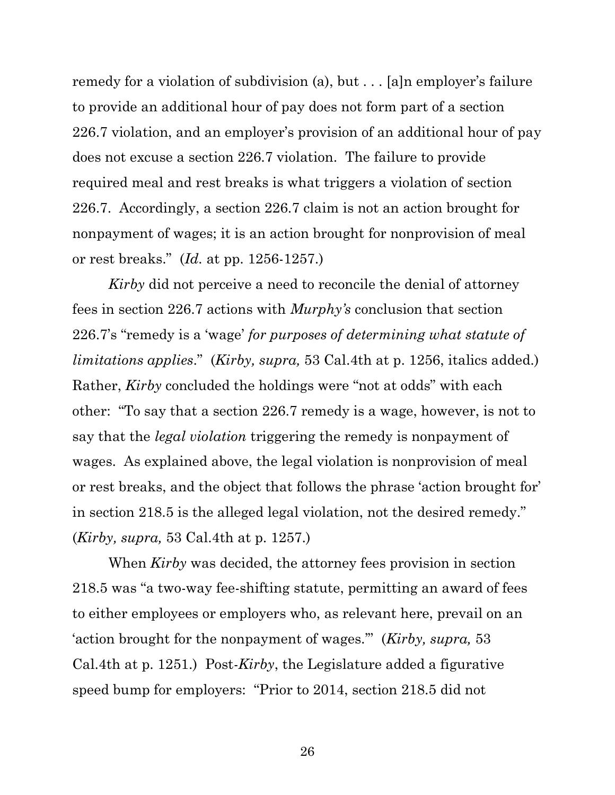remedy for a violation of subdivision (a), but . . . [a]n employer's failure to provide an additional hour of pay does not form part of a section 226.7 violation, and an employer's provision of an additional hour of pay does not excuse a section 226.7 violation. The failure to provide required meal and rest breaks is what triggers a violation of section 226.7. Accordingly, a section 226.7 claim is not an action brought for nonpayment of wages; it is an action brought for nonprovision of meal or rest breaks." (*Id.* at pp. 1256-1257.)

*Kirby* did not perceive a need to reconcile the denial of attorney fees in section 226.7 actions with *Murphy's* conclusion that section 226.7's "remedy is a 'wage' *for purposes of determining what statute of limitations applies*." (*Kirby, supra,* 53 Cal.4th at p. 1256, italics added.) Rather, *Kirby* concluded the holdings were "not at odds" with each other: "To say that a section 226.7 remedy is a wage, however, is not to say that the *legal violation* triggering the remedy is nonpayment of wages. As explained above, the legal violation is nonprovision of meal or rest breaks, and the object that follows the phrase 'action brought for' in section 218.5 is the alleged legal violation, not the desired remedy." (*Kirby, supra,* 53 Cal.4th at p. 1257.)

When *Kirby* was decided, the attorney fees provision in section 218.5 was "a two-way fee-shifting statute, permitting an award of fees to either employees or employers who, as relevant here, prevail on an 'action brought for the nonpayment of wages.'" (*Kirby, supra,* 53 Cal.4th at p. 1251.) Post-*Kirby*, the Legislature added a figurative speed bump for employers: "Prior to 2014, section 218.5 did not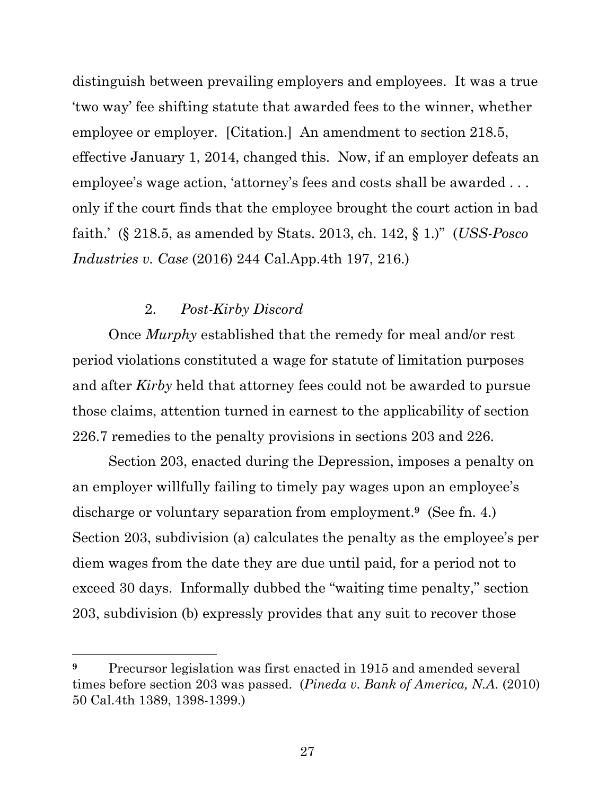distinguish between prevailing employers and employees. It was a true 'two way' fee shifting statute that awarded fees to the winner, whether employee or employer. [Citation.] An amendment to section 218.5, effective January 1, 2014, changed this. Now, if an employer defeats an employee's wage action, 'attorney's fees and costs shall be awarded . . . only if the court finds that the employee brought the court action in bad faith.' (§ 218.5, as amended by Stats. 2013, ch. 142, § 1.)" (*USS-Posco Industries v. Case* (2016) 244 Cal.App.4th 197, 216.)

## 2. *Post-Kirby Discord*

Once *Murphy* established that the remedy for meal and/or rest period violations constituted a wage for statute of limitation purposes and after *Kirby* held that attorney fees could not be awarded to pursue those claims, attention turned in earnest to the applicability of section 226.7 remedies to the penalty provisions in sections 203 and 226.

Section 203, enacted during the Depression, imposes a penalty on an employer willfully failing to timely pay wages upon an employee's discharge or voluntary separation from employment.**9** (See fn. 4.) Section 203, subdivision (a) calculates the penalty as the employee's per diem wages from the date they are due until paid, for a period not to exceed 30 days. Informally dubbed the "waiting time penalty," section 203, subdivision (b) expressly provides that any suit to recover those

**<sup>9</sup>** Precursor legislation was first enacted in 1915 and amended several times before section 203 was passed. (*Pineda v. Bank of America, N.A.* (2010) 50 Cal.4th 1389, 1398-1399.)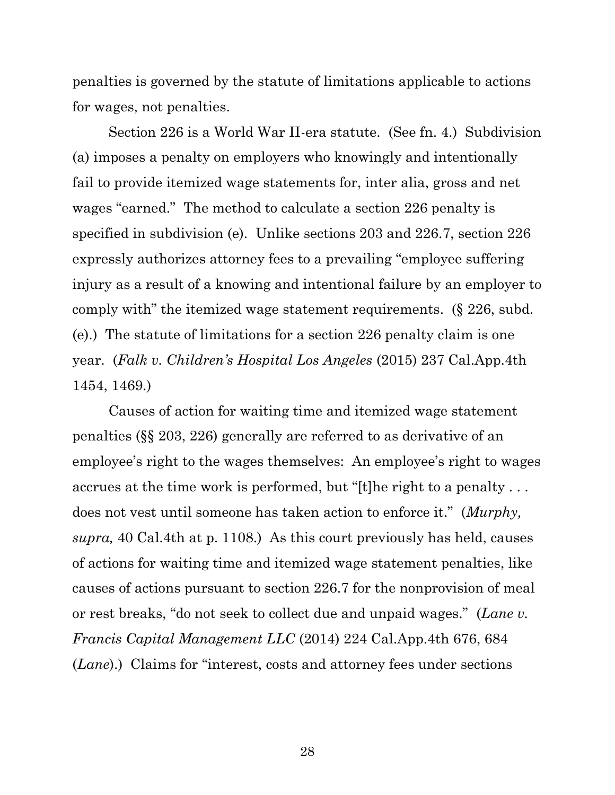penalties is governed by the statute of limitations applicable to actions for wages, not penalties.

Section 226 is a World War II-era statute. (See fn. 4.) Subdivision (a) imposes a penalty on employers who knowingly and intentionally fail to provide itemized wage statements for, inter alia, gross and net wages "earned." The method to calculate a section 226 penalty is specified in subdivision (e). Unlike sections 203 and 226.7, section 226 expressly authorizes attorney fees to a prevailing "employee suffering injury as a result of a knowing and intentional failure by an employer to comply with" the itemized wage statement requirements. (§ 226, subd. (e).) The statute of limitations for a section 226 penalty claim is one year. (*Falk v. Children's Hospital Los Angeles* (2015) 237 Cal.App.4th 1454, 1469.)

Causes of action for waiting time and itemized wage statement penalties (§§ 203, 226) generally are referred to as derivative of an employee's right to the wages themselves: An employee's right to wages accrues at the time work is performed, but "[t]he right to a penalty . . . does not vest until someone has taken action to enforce it." (*Murphy, supra,* 40 Cal.4th at p. 1108.) As this court previously has held, causes of actions for waiting time and itemized wage statement penalties, like causes of actions pursuant to section 226.7 for the nonprovision of meal or rest breaks, "do not seek to collect due and unpaid wages." (*Lane v. Francis Capital Management LLC* (2014) 224 Cal.App.4th 676, 684 (*Lane*).) Claims for "interest, costs and attorney fees under sections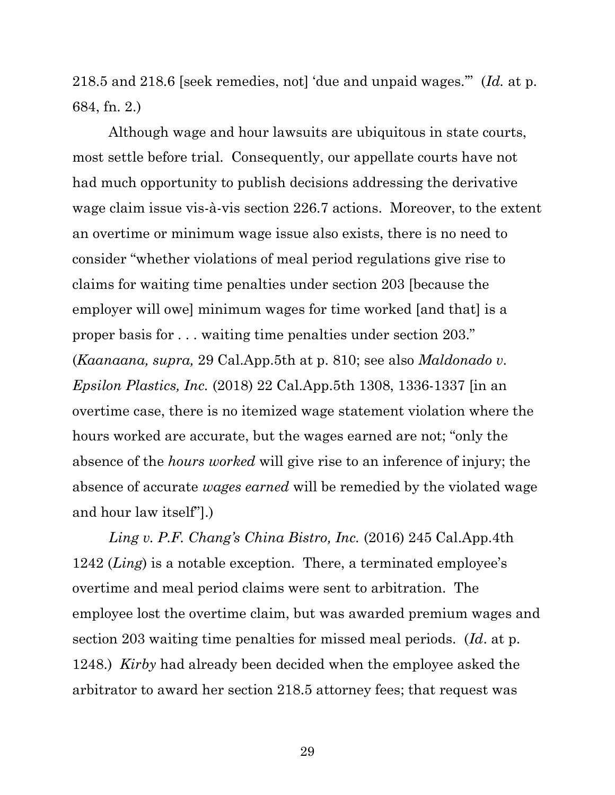218.5 and 218.6 [seek remedies, not] 'due and unpaid wages.'" (*Id.* at p. 684, fn. 2.)

Although wage and hour lawsuits are ubiquitous in state courts, most settle before trial. Consequently, our appellate courts have not had much opportunity to publish decisions addressing the derivative wage claim issue vis-à-vis section 226.7 actions. Moreover, to the extent an overtime or minimum wage issue also exists, there is no need to consider "whether violations of meal period regulations give rise to claims for waiting time penalties under section 203 [because the employer will owe] minimum wages for time worked [and that] is a proper basis for . . . waiting time penalties under section 203." (*Kaanaana, supra,* 29 Cal.App.5th at p. 810; see also *Maldonado v. Epsilon Plastics, Inc.* (2018) 22 Cal.App.5th 1308, 1336-1337 [in an overtime case, there is no itemized wage statement violation where the hours worked are accurate, but the wages earned are not; "only the absence of the *hours worked* will give rise to an inference of injury; the absence of accurate *wages earned* will be remedied by the violated wage and hour law itself"].)

*Ling v. P.F. Chang's China Bistro, Inc.* (2016) 245 Cal.App.4th 1242 (*Ling*) is a notable exception. There, a terminated employee's overtime and meal period claims were sent to arbitration. The employee lost the overtime claim, but was awarded premium wages and section 203 waiting time penalties for missed meal periods. (*Id*. at p. 1248.) *Kirby* had already been decided when the employee asked the arbitrator to award her section 218.5 attorney fees; that request was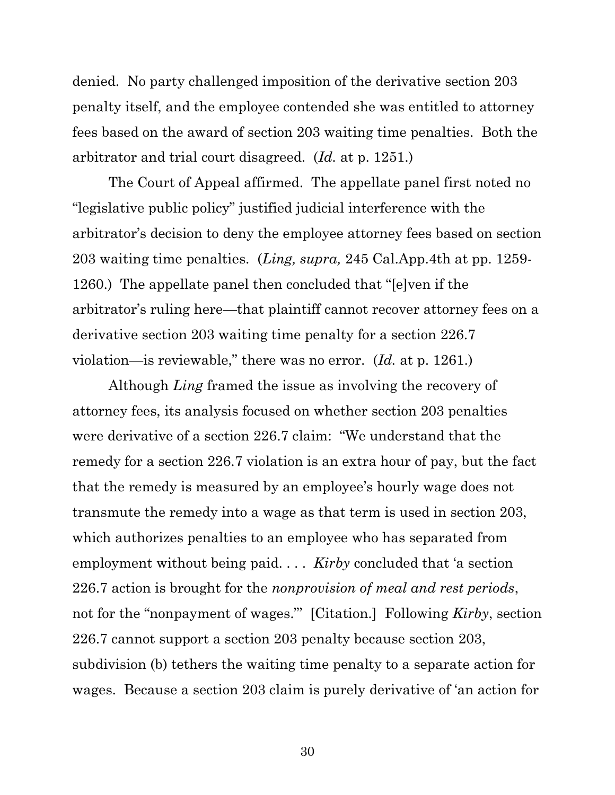denied. No party challenged imposition of the derivative section 203 penalty itself, and the employee contended she was entitled to attorney fees based on the award of section 203 waiting time penalties. Both the arbitrator and trial court disagreed. (*Id.* at p. 1251.)

The Court of Appeal affirmed. The appellate panel first noted no "legislative public policy" justified judicial interference with the arbitrator's decision to deny the employee attorney fees based on section 203 waiting time penalties. (*Ling, supra,* 245 Cal.App.4th at pp. 1259- 1260.) The appellate panel then concluded that "[e]ven if the arbitrator's ruling here—that plaintiff cannot recover attorney fees on a derivative section 203 waiting time penalty for a section 226.7 violation—is reviewable," there was no error. (*Id.* at p. 1261.)

Although *Ling* framed the issue as involving the recovery of attorney fees, its analysis focused on whether section 203 penalties were derivative of a section 226.7 claim: "We understand that the remedy for a section 226.7 violation is an extra hour of pay, but the fact that the remedy is measured by an employee's hourly wage does not transmute the remedy into a wage as that term is used in section 203, which authorizes penalties to an employee who has separated from employment without being paid. . . . *Kirby* concluded that 'a section 226.7 action is brought for the *nonprovision of meal and rest periods*, not for the "nonpayment of wages."' [Citation.] Following *Kirby*, section 226.7 cannot support a section 203 penalty because section 203, subdivision (b) tethers the waiting time penalty to a separate action for wages. Because a section 203 claim is purely derivative of 'an action for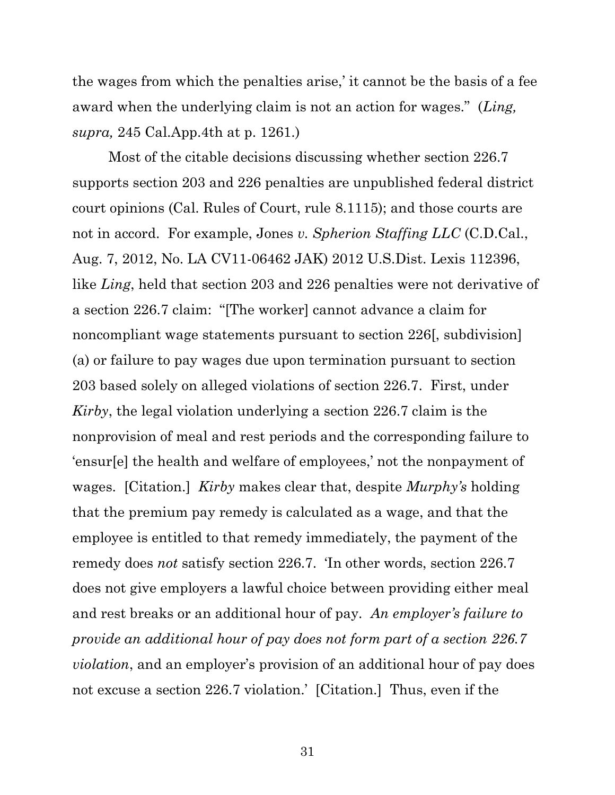the wages from which the penalties arise,' it cannot be the basis of a fee award when the underlying claim is not an action for wages." (*Ling, supra,* 245 Cal.App.4th at p. 1261.)

Most of the citable decisions discussing whether section 226.7 supports section 203 and 226 penalties are unpublished federal district court opinions (Cal. Rules of Court, rule 8.1115); and those courts are not in accord. For example, Jones *v. Spherion Staffing LLC* (C.D.Cal., Aug. 7, 2012, No. LA CV11-06462 JAK) 2012 U.S.Dist. Lexis 112396, like *Ling*, held that section 203 and 226 penalties were not derivative of a section 226.7 claim: "[The worker] cannot advance a claim for noncompliant wage statements pursuant to section 226[, subdivision] (a) or failure to pay wages due upon termination pursuant to section 203 based solely on alleged violations of section 226.7. First, under *Kirby*, the legal violation underlying a section 226.7 claim is the nonprovision of meal and rest periods and the corresponding failure to 'ensur[e] the health and welfare of employees,' not the nonpayment of wages. [Citation.] *Kirby* makes clear that, despite *Murphy's* holding that the premium pay remedy is calculated as a wage, and that the employee is entitled to that remedy immediately, the payment of the remedy does *not* satisfy section 226.7. 'In other words, section 226.7 does not give employers a lawful choice between providing either meal and rest breaks or an additional hour of pay. *An employer's failure to provide an additional hour of pay does not form part of a section 226.7 violation*, and an employer's provision of an additional hour of pay does not excuse a section 226.7 violation.' [Citation.] Thus, even if the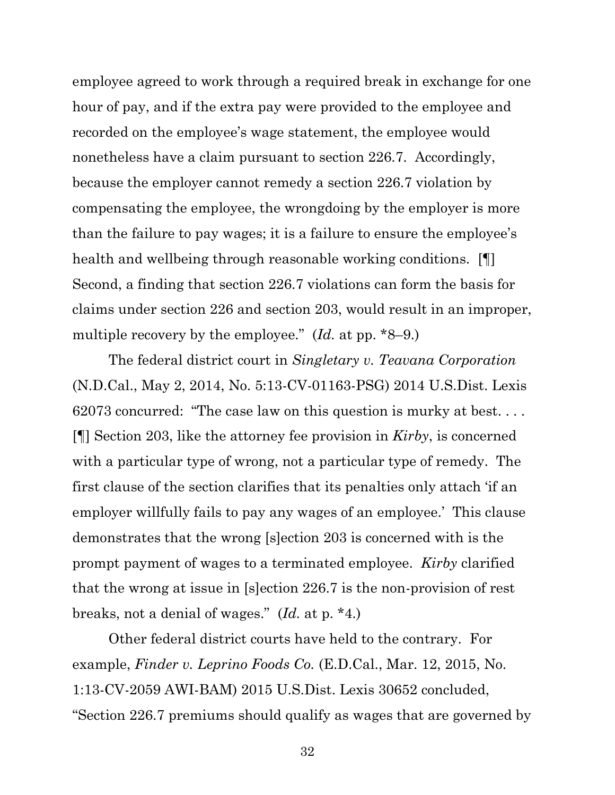employee agreed to work through a required break in exchange for one hour of pay, and if the extra pay were provided to the employee and recorded on the employee's wage statement, the employee would nonetheless have a claim pursuant to section 226.7. Accordingly, because the employer cannot remedy a section 226.7 violation by compensating the employee, the wrongdoing by the employer is more than the failure to pay wages; it is a failure to ensure the employee's health and wellbeing through reasonable working conditions. [ Second, a finding that section 226.7 violations can form the basis for claims under section 226 and section 203, would result in an improper, multiple recovery by the employee." (*Id.* at pp. \*8–9.)

The federal district court in *Singletary v. Teavana Corporation* (N.D.Cal., May 2, 2014, No. 5:13-CV-01163-PSG) 2014 U.S.Dist. Lexis 62073 concurred: "The case law on this question is murky at best. . . . [¶] Section 203, like the attorney fee provision in *Kirby*, is concerned with a particular type of wrong, not a particular type of remedy. The first clause of the section clarifies that its penalties only attach 'if an employer willfully fails to pay any wages of an employee.' This clause demonstrates that the wrong [s]ection 203 is concerned with is the prompt payment of wages to a terminated employee. *Kirby* clarified that the wrong at issue in [s]ection 226.7 is the non-provision of rest breaks, not a denial of wages." (*Id.* at p. \*4.)

Other federal district courts have held to the contrary. For example, *Finder v. Leprino Foods Co.* (E.D.Cal., Mar. 12, 2015, No. 1:13-CV-2059 AWI-BAM) 2015 U.S.Dist. Lexis 30652 concluded, "Section 226.7 premiums should qualify as wages that are governed by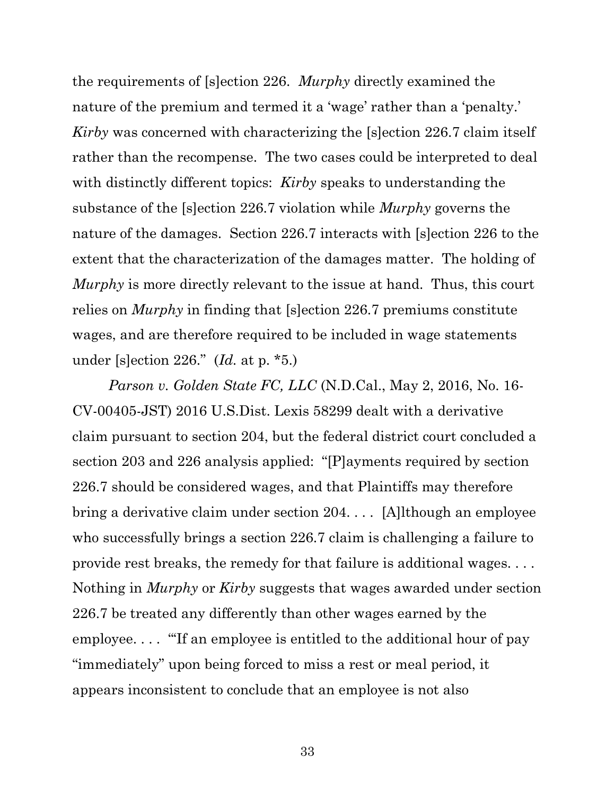the requirements of [s]ection 226. *Murphy* directly examined the nature of the premium and termed it a 'wage' rather than a 'penalty.' *Kirby* was concerned with characterizing the [s]ection 226.7 claim itself rather than the recompense. The two cases could be interpreted to deal with distinctly different topics: *Kirby* speaks to understanding the substance of the [s]ection 226.7 violation while *Murphy* governs the nature of the damages. Section 226.7 interacts with [s]ection 226 to the extent that the characterization of the damages matter. The holding of *Murphy* is more directly relevant to the issue at hand. Thus, this court relies on *Murphy* in finding that [s]ection 226.7 premiums constitute wages, and are therefore required to be included in wage statements under [s]ection 226." (*Id.* at p. \*5.)

*Parson v. Golden State FC, LLC* (N.D.Cal., May 2, 2016, No. 16- CV-00405-JST) 2016 U.S.Dist. Lexis 58299 dealt with a derivative claim pursuant to section 204, but the federal district court concluded a section 203 and 226 analysis applied: "[P]ayments required by section 226.7 should be considered wages, and that Plaintiffs may therefore bring a derivative claim under section 204. . . . [A]lthough an employee who successfully brings a section 226.7 claim is challenging a failure to provide rest breaks, the remedy for that failure is additional wages. . . . Nothing in *Murphy* or *Kirby* suggests that wages awarded under section 226.7 be treated any differently than other wages earned by the employee.... "If an employee is entitled to the additional hour of pay "immediately" upon being forced to miss a rest or meal period, it appears inconsistent to conclude that an employee is not also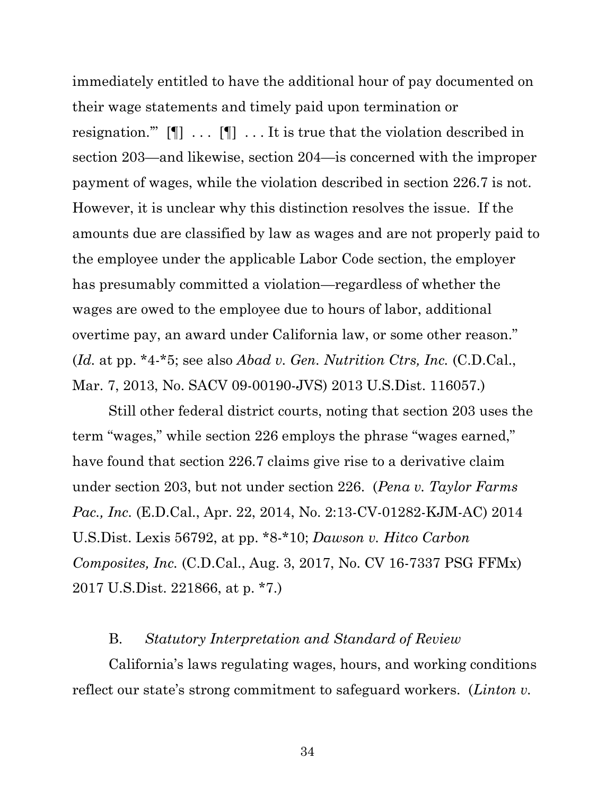immediately entitled to have the additional hour of pay documented on their wage statements and timely paid upon termination or resignation."  $[\P]$  ...  $[\P]$  ... It is true that the violation described in section 203—and likewise, section 204—is concerned with the improper payment of wages, while the violation described in section 226.7 is not. However, it is unclear why this distinction resolves the issue. If the amounts due are classified by law as wages and are not properly paid to the employee under the applicable Labor Code section, the employer has presumably committed a violation—regardless of whether the wages are owed to the employee due to hours of labor, additional overtime pay, an award under California law, or some other reason." (*Id.* at pp. \*4-\*5; see also *Abad v. Gen. Nutrition Ctrs, Inc.* (C.D.Cal., Mar. 7, 2013, No. SACV 09-00190-JVS) 2013 U.S.Dist. 116057.)

Still other federal district courts, noting that section 203 uses the term "wages," while section 226 employs the phrase "wages earned," have found that section 226.7 claims give rise to a derivative claim under section 203, but not under section 226. (*Pena v. Taylor Farms Pac., Inc.* (E.D.Cal., Apr. 22, 2014, No. 2:13-CV-01282-KJM-AC) 2014 U.S.Dist. Lexis 56792, at pp. \*8-\*10; *Dawson v. Hitco Carbon Composites, Inc.* (C.D.Cal., Aug. 3, 2017, No. CV 16-7337 PSG FFMx) 2017 U.S.Dist. 221866, at p. \*7.)

#### B. *Statutory Interpretation and Standard of Review*

California's laws regulating wages, hours, and working conditions reflect our state's strong commitment to safeguard workers. (*Linton v.*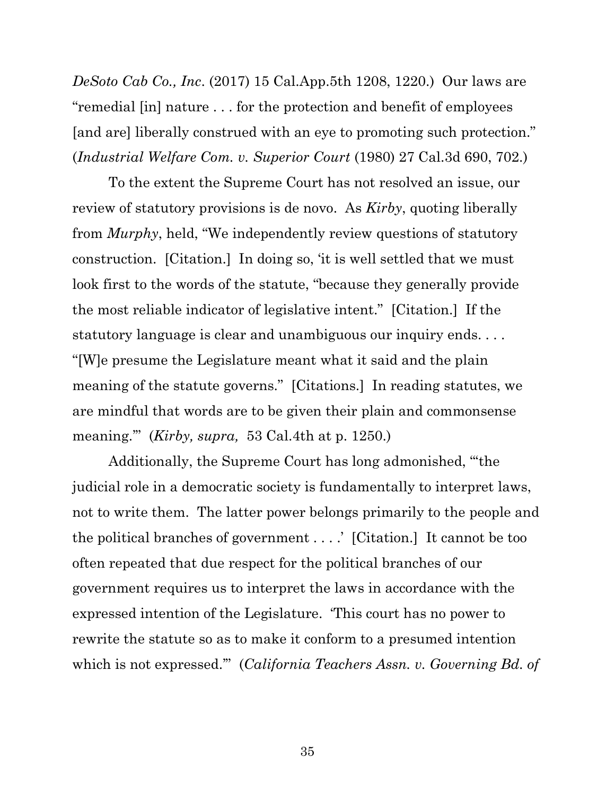*DeSoto Cab Co., Inc*. (2017) 15 Cal.App.5th 1208, 1220.) Our laws are "remedial [in] nature . . . for the protection and benefit of employees [and are] liberally construed with an eye to promoting such protection." (*Industrial Welfare Com. v. Superior Court* (1980) 27 Cal.3d 690, 702.)

To the extent the Supreme Court has not resolved an issue, our review of statutory provisions is de novo. As *Kirby*, quoting liberally from *Murphy*, held, "We independently review questions of statutory construction. [Citation.] In doing so, 'it is well settled that we must look first to the words of the statute, "because they generally provide the most reliable indicator of legislative intent." [Citation.] If the statutory language is clear and unambiguous our inquiry ends. . . . "[W]e presume the Legislature meant what it said and the plain meaning of the statute governs." [Citations.] In reading statutes, we are mindful that words are to be given their plain and commonsense meaning.'" (*Kirby, supra,* 53 Cal.4th at p. 1250.)

Additionally, the Supreme Court has long admonished, "'the judicial role in a democratic society is fundamentally to interpret laws, not to write them. The latter power belongs primarily to the people and the political branches of government . . . .' [Citation.] It cannot be too often repeated that due respect for the political branches of our government requires us to interpret the laws in accordance with the expressed intention of the Legislature. 'This court has no power to rewrite the statute so as to make it conform to a presumed intention which is not expressed.'" (*California Teachers Assn. v. Governing Bd. of*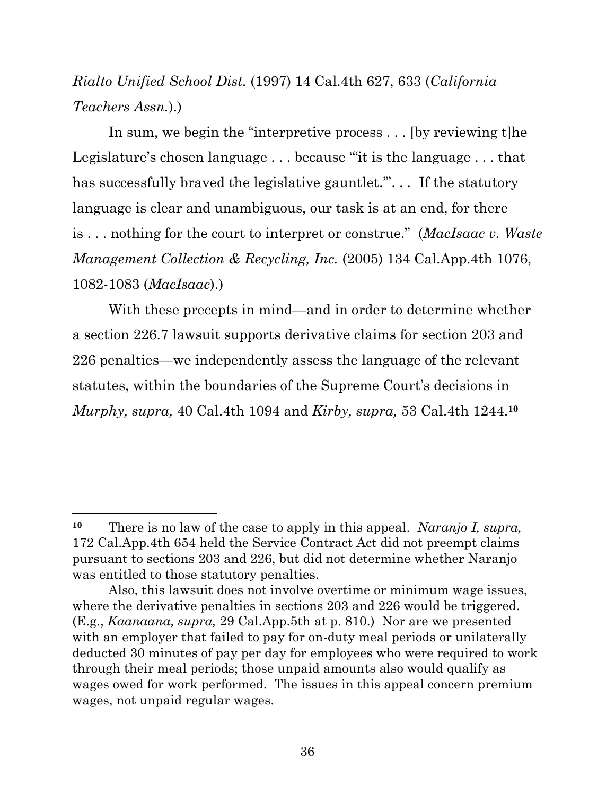# *Rialto Unified School Dist.* (1997) 14 Cal.4th 627, 633 (*California Teachers Assn.*).)

In sum, we begin the "interpretive process... [by reviewing t] he Legislature's chosen language . . . because '"it is the language . . . that has successfully braved the legislative gauntlet."... If the statutory language is clear and unambiguous, our task is at an end, for there is . . . nothing for the court to interpret or construe." (*MacIsaac v. Waste Management Collection & Recycling, Inc.* (2005) 134 Cal.App.4th 1076, 1082-1083 (*MacIsaac*).)

With these precepts in mind—and in order to determine whether a section 226.7 lawsuit supports derivative claims for section 203 and 226 penalties—we independently assess the language of the relevant statutes, within the boundaries of the Supreme Court's decisions in *Murphy, supra,* 40 Cal.4th 1094 and *Kirby, supra,* 53 Cal.4th 1244.**<sup>10</sup>**

**<sup>10</sup>** There is no law of the case to apply in this appeal. *Naranjo I, supra,*  172 Cal.App.4th 654 held the Service Contract Act did not preempt claims pursuant to sections 203 and 226, but did not determine whether Naranjo was entitled to those statutory penalties.

Also, this lawsuit does not involve overtime or minimum wage issues, where the derivative penalties in sections 203 and 226 would be triggered. (E.g., *Kaanaana, supra,* 29 Cal.App.5th at p. 810.) Nor are we presented with an employer that failed to pay for on-duty meal periods or unilaterally deducted 30 minutes of pay per day for employees who were required to work through their meal periods; those unpaid amounts also would qualify as wages owed for work performed. The issues in this appeal concern premium wages, not unpaid regular wages.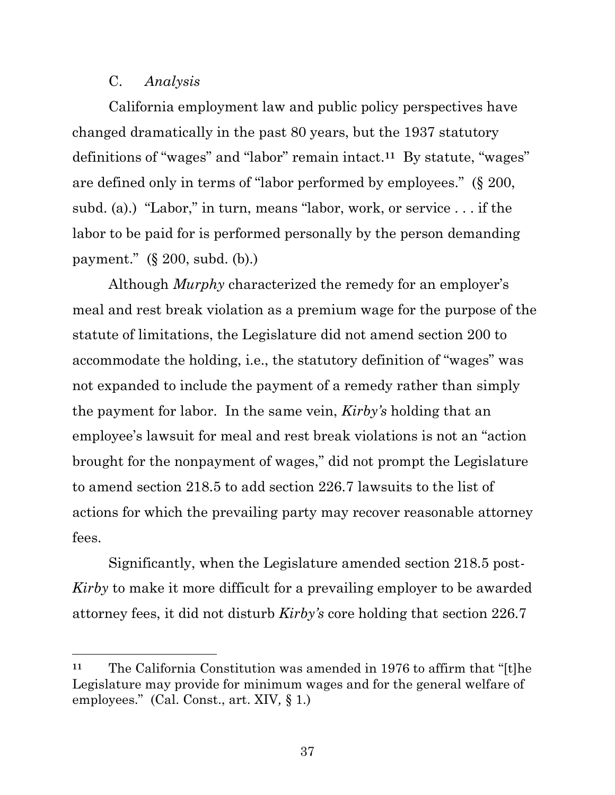## C. *Analysis*

California employment law and public policy perspectives have changed dramatically in the past 80 years, but the 1937 statutory definitions of "wages" and "labor" remain intact.**<sup>11</sup>** By statute, "wages" are defined only in terms of "labor performed by employees." (§ 200, subd. (a).) "Labor," in turn, means "labor, work, or service . . . if the labor to be paid for is performed personally by the person demanding payment." (§ 200, subd. (b).)

Although *Murphy* characterized the remedy for an employer's meal and rest break violation as a premium wage for the purpose of the statute of limitations, the Legislature did not amend section 200 to accommodate the holding, i.e., the statutory definition of "wages" was not expanded to include the payment of a remedy rather than simply the payment for labor. In the same vein, *Kirby's* holding that an employee's lawsuit for meal and rest break violations is not an "action brought for the nonpayment of wages," did not prompt the Legislature to amend section 218.5 to add section 226.7 lawsuits to the list of actions for which the prevailing party may recover reasonable attorney fees.

Significantly, when the Legislature amended section 218.5 post-*Kirby* to make it more difficult for a prevailing employer to be awarded attorney fees, it did not disturb *Kirby's* core holding that section 226.7

**<sup>11</sup>** The California Constitution was amended in 1976 to affirm that "[t]he Legislature may provide for minimum wages and for the general welfare of employees." (Cal. Const., art. XIV*,* § 1.)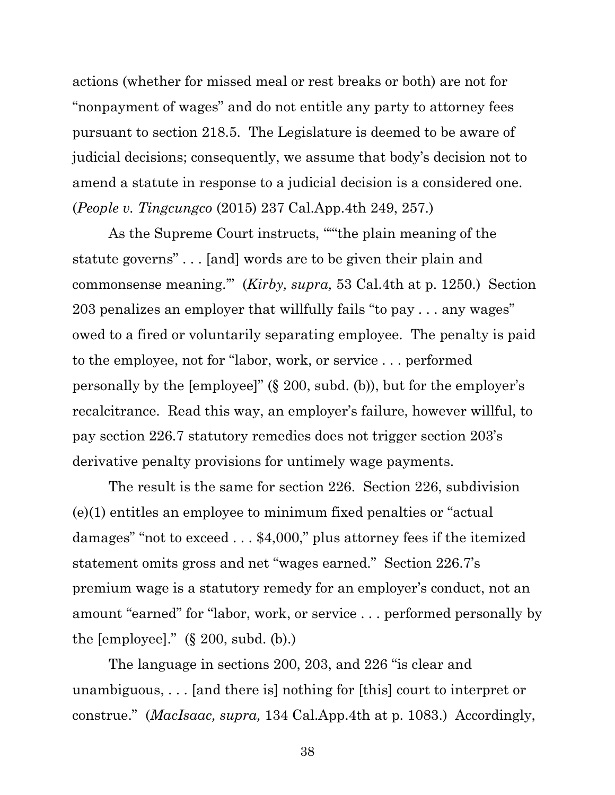actions (whether for missed meal or rest breaks or both) are not for "nonpayment of wages" and do not entitle any party to attorney fees pursuant to section 218.5. The Legislature is deemed to be aware of judicial decisions; consequently, we assume that body's decision not to amend a statute in response to a judicial decision is a considered one. (*People v. Tingcungco* (2015) 237 Cal.App.4th 249, 257.)

As the Supreme Court instructs, "'"the plain meaning of the statute governs" . . . [and] words are to be given their plain and commonsense meaning.'" (*Kirby, supra,* 53 Cal.4th at p. 1250.) Section 203 penalizes an employer that willfully fails "to pay . . . any wages" owed to a fired or voluntarily separating employee. The penalty is paid to the employee, not for "labor, work, or service . . . performed personally by the [employee]" (§ 200, subd. (b)), but for the employer's recalcitrance. Read this way, an employer's failure, however willful, to pay section 226.7 statutory remedies does not trigger section 203's derivative penalty provisions for untimely wage payments.

The result is the same for section 226. Section 226, subdivision (e)(1) entitles an employee to minimum fixed penalties or "actual damages" "not to exceed . . . \$4,000," plus attorney fees if the itemized statement omits gross and net "wages earned." Section 226.7's premium wage is a statutory remedy for an employer's conduct, not an amount "earned" for "labor, work, or service . . . performed personally by the [employee]." (§ 200, subd. (b).)

The language in sections 200, 203, and 226 "is clear and unambiguous, . . . [and there is] nothing for [this] court to interpret or construe." (*MacIsaac, supra,* 134 Cal.App.4th at p. 1083.) Accordingly,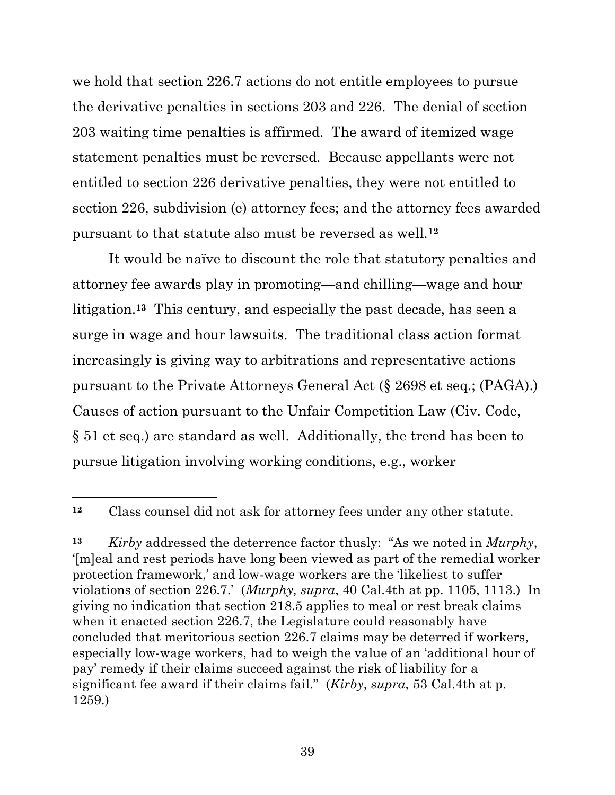we hold that section 226.7 actions do not entitle employees to pursue the derivative penalties in sections 203 and 226. The denial of section 203 waiting time penalties is affirmed. The award of itemized wage statement penalties must be reversed. Because appellants were not entitled to section 226 derivative penalties, they were not entitled to section 226, subdivision (e) attorney fees; and the attorney fees awarded pursuant to that statute also must be reversed as well.**<sup>12</sup>**

It would be naïve to discount the role that statutory penalties and attorney fee awards play in promoting—and chilling—wage and hour litigation.**13** This century, and especially the past decade, has seen a surge in wage and hour lawsuits. The traditional class action format increasingly is giving way to arbitrations and representative actions pursuant to the Private Attorneys General Act (§ 2698 et seq.; (PAGA).) Causes of action pursuant to the Unfair Competition Law (Civ. Code, § 51 et seq.) are standard as well. Additionally, the trend has been to pursue litigation involving working conditions, e.g., worker

**<sup>12</sup>** Class counsel did not ask for attorney fees under any other statute.

**<sup>13</sup>** *Kirby* addressed the deterrence factor thusly: "As we noted in *Murphy*, '[m]eal and rest periods have long been viewed as part of the remedial worker protection framework,' and low-wage workers are the 'likeliest to suffer violations of section 226.7.' (*Murphy, supra*, 40 Cal.4th at pp. 1105, 1113.) In giving no indication that section 218.5 applies to meal or rest break claims when it enacted section 226.7, the Legislature could reasonably have concluded that meritorious section 226.7 claims may be deterred if workers, especially low-wage workers, had to weigh the value of an 'additional hour of pay' remedy if their claims succeed against the risk of liability for a significant fee award if their claims fail." (*Kirby, supra,* 53 Cal.4th at p. 1259.)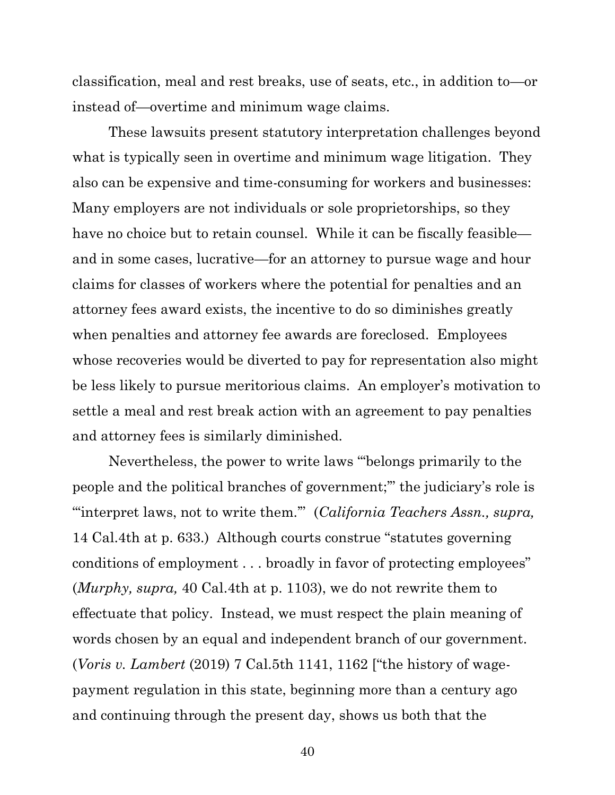classification, meal and rest breaks, use of seats, etc., in addition to—or instead of—overtime and minimum wage claims.

These lawsuits present statutory interpretation challenges beyond what is typically seen in overtime and minimum wage litigation. They also can be expensive and time-consuming for workers and businesses: Many employers are not individuals or sole proprietorships, so they have no choice but to retain counsel. While it can be fiscally feasible and in some cases, lucrative—for an attorney to pursue wage and hour claims for classes of workers where the potential for penalties and an attorney fees award exists, the incentive to do so diminishes greatly when penalties and attorney fee awards are foreclosed. Employees whose recoveries would be diverted to pay for representation also might be less likely to pursue meritorious claims. An employer's motivation to settle a meal and rest break action with an agreement to pay penalties and attorney fees is similarly diminished.

Nevertheless, the power to write laws "'belongs primarily to the people and the political branches of government;'" the judiciary's role is "'interpret laws, not to write them.'" (*California Teachers Assn., supra,*  14 Cal.4th at p. 633.) Although courts construe "statutes governing conditions of employment . . . broadly in favor of protecting employees" (*Murphy, supra,* 40 Cal.4th at p. 1103), we do not rewrite them to effectuate that policy. Instead, we must respect the plain meaning of words chosen by an equal and independent branch of our government. (*Voris v. Lambert* (2019) 7 Cal.5th 1141, 1162 ["the history of wagepayment regulation in this state, beginning more than a century ago and continuing through the present day, shows us both that the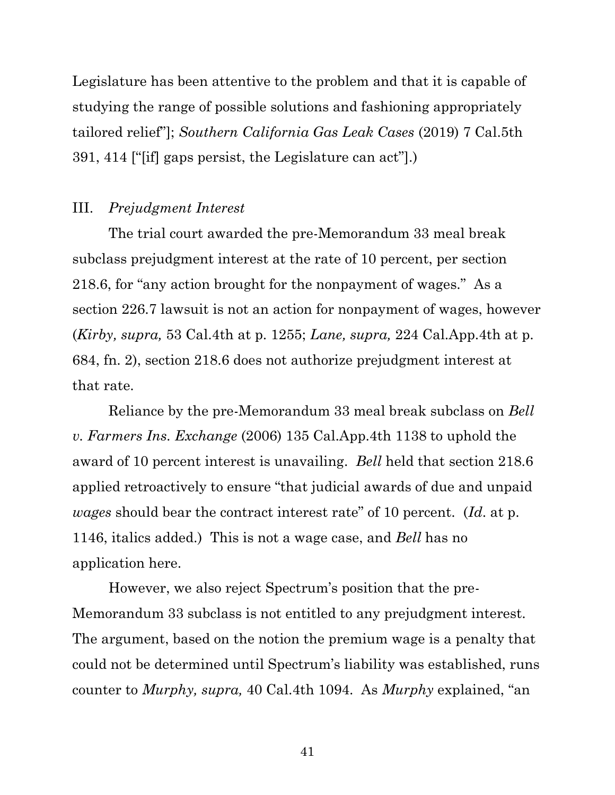Legislature has been attentive to the problem and that it is capable of studying the range of possible solutions and fashioning appropriately tailored relief"]; *Southern California Gas Leak Cases* (2019) 7 Cal.5th 391, 414 ["[if] gaps persist, the Legislature can act"].)

## III. *Prejudgment Interest*

The trial court awarded the pre-Memorandum 33 meal break subclass prejudgment interest at the rate of 10 percent, per section 218.6, for "any action brought for the nonpayment of wages." As a section 226.7 lawsuit is not an action for nonpayment of wages, however (*Kirby, supra,* 53 Cal.4th at p. 1255; *Lane, supra,* 224 Cal.App.4th at p. 684, fn. 2), section 218.6 does not authorize prejudgment interest at that rate.

Reliance by the pre-Memorandum 33 meal break subclass on *Bell v. Farmers Ins. Exchange* (2006) 135 Cal.App.4th 1138 to uphold the award of 10 percent interest is unavailing. *Bell* held that section 218.6 applied retroactively to ensure "that judicial awards of due and unpaid *wages* should bear the contract interest rate" of 10 percent. (*Id*. at p. 1146, italics added.) This is not a wage case, and *Bell* has no application here.

However, we also reject Spectrum's position that the pre-Memorandum 33 subclass is not entitled to any prejudgment interest. The argument, based on the notion the premium wage is a penalty that could not be determined until Spectrum's liability was established, runs counter to *Murphy, supra,* 40 Cal.4th 1094. As *Murphy* explained, "an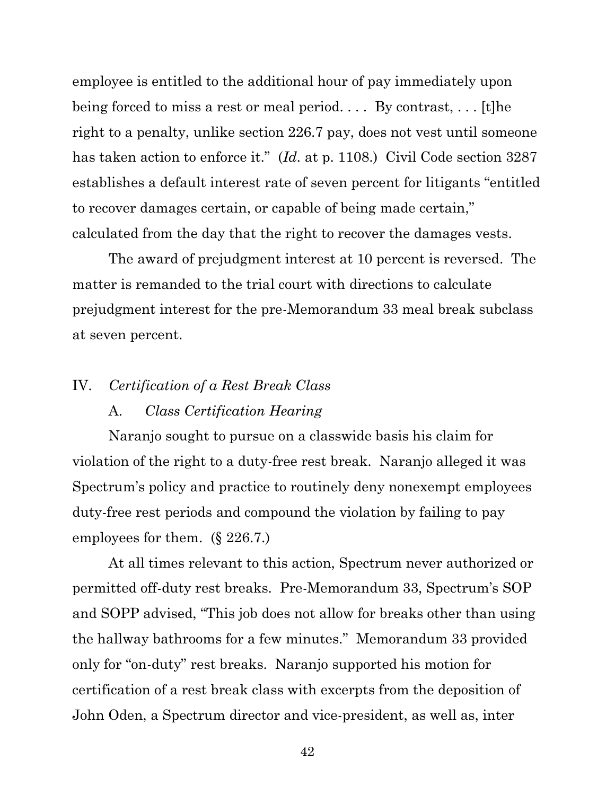employee is entitled to the additional hour of pay immediately upon being forced to miss a rest or meal period. . . . By contrast, . . . [t]he right to a penalty, unlike section 226.7 pay, does not vest until someone has taken action to enforce it." (*Id.* at p. 1108.) Civil Code section 3287 establishes a default interest rate of seven percent for litigants "entitled to recover damages certain, or capable of being made certain," calculated from the day that the right to recover the damages vests.

The award of prejudgment interest at 10 percent is reversed. The matter is remanded to the trial court with directions to calculate prejudgment interest for the pre-Memorandum 33 meal break subclass at seven percent.

#### IV. *Certification of a Rest Break Class*

#### A. *Class Certification Hearing*

Naranjo sought to pursue on a classwide basis his claim for violation of the right to a duty-free rest break. Naranjo alleged it was Spectrum's policy and practice to routinely deny nonexempt employees duty-free rest periods and compound the violation by failing to pay employees for them. (§ 226.7.)

At all times relevant to this action, Spectrum never authorized or permitted off-duty rest breaks. Pre-Memorandum 33, Spectrum's SOP and SOPP advised, "This job does not allow for breaks other than using the hallway bathrooms for a few minutes." Memorandum 33 provided only for "on-duty" rest breaks. Naranjo supported his motion for certification of a rest break class with excerpts from the deposition of John Oden, a Spectrum director and vice-president, as well as, inter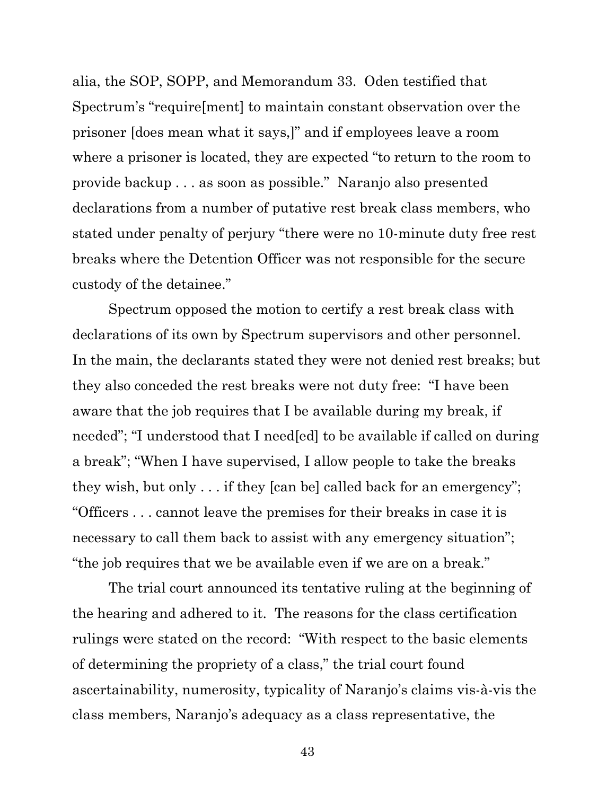alia, the SOP, SOPP, and Memorandum 33. Oden testified that Spectrum's "require[ment] to maintain constant observation over the prisoner [does mean what it says,]" and if employees leave a room where a prisoner is located, they are expected "to return to the room to provide backup . . . as soon as possible." Naranjo also presented declarations from a number of putative rest break class members, who stated under penalty of perjury "there were no 10-minute duty free rest breaks where the Detention Officer was not responsible for the secure custody of the detainee."

Spectrum opposed the motion to certify a rest break class with declarations of its own by Spectrum supervisors and other personnel. In the main, the declarants stated they were not denied rest breaks; but they also conceded the rest breaks were not duty free: "I have been aware that the job requires that I be available during my break, if needed"; "I understood that I need[ed] to be available if called on during a break"; "When I have supervised, I allow people to take the breaks they wish, but only . . . if they [can be] called back for an emergency"; "Officers . . . cannot leave the premises for their breaks in case it is necessary to call them back to assist with any emergency situation"; "the job requires that we be available even if we are on a break."

The trial court announced its tentative ruling at the beginning of the hearing and adhered to it. The reasons for the class certification rulings were stated on the record: "With respect to the basic elements of determining the propriety of a class," the trial court found ascertainability, numerosity, typicality of Naranjo's claims vis-à-vis the class members, Naranjo's adequacy as a class representative, the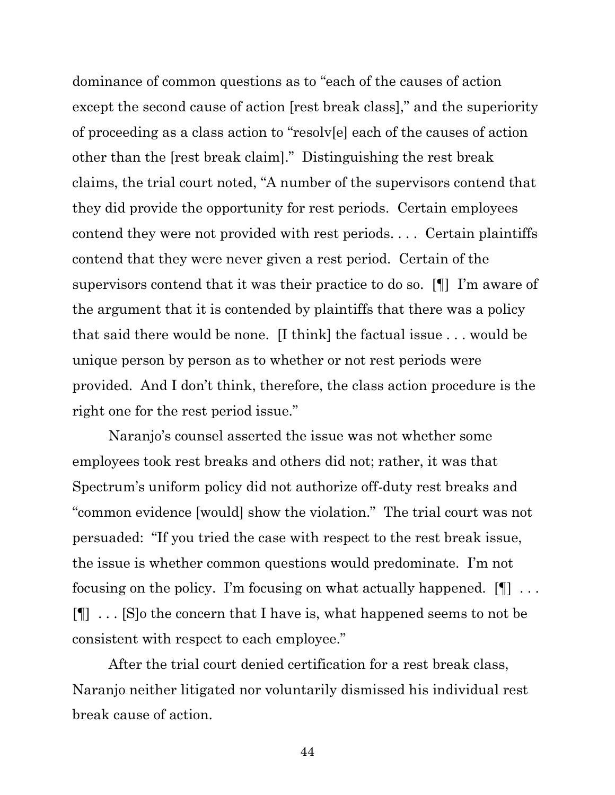dominance of common questions as to "each of the causes of action except the second cause of action [rest break class]," and the superiority of proceeding as a class action to "resolv[e] each of the causes of action other than the [rest break claim]." Distinguishing the rest break claims, the trial court noted, "A number of the supervisors contend that they did provide the opportunity for rest periods. Certain employees contend they were not provided with rest periods. . . . Certain plaintiffs contend that they were never given a rest period. Certain of the supervisors contend that it was their practice to do so. [¶] I'm aware of the argument that it is contended by plaintiffs that there was a policy that said there would be none. [I think] the factual issue . . . would be unique person by person as to whether or not rest periods were provided. And I don't think, therefore, the class action procedure is the right one for the rest period issue."

Naranjo's counsel asserted the issue was not whether some employees took rest breaks and others did not; rather, it was that Spectrum's uniform policy did not authorize off-duty rest breaks and "common evidence [would] show the violation." The trial court was not persuaded: "If you tried the case with respect to the rest break issue, the issue is whether common questions would predominate. I'm not focusing on the policy. I'm focusing on what actually happened.  $[\P]$  ... [¶] . . . [S]o the concern that I have is, what happened seems to not be consistent with respect to each employee."

After the trial court denied certification for a rest break class, Naranjo neither litigated nor voluntarily dismissed his individual rest break cause of action.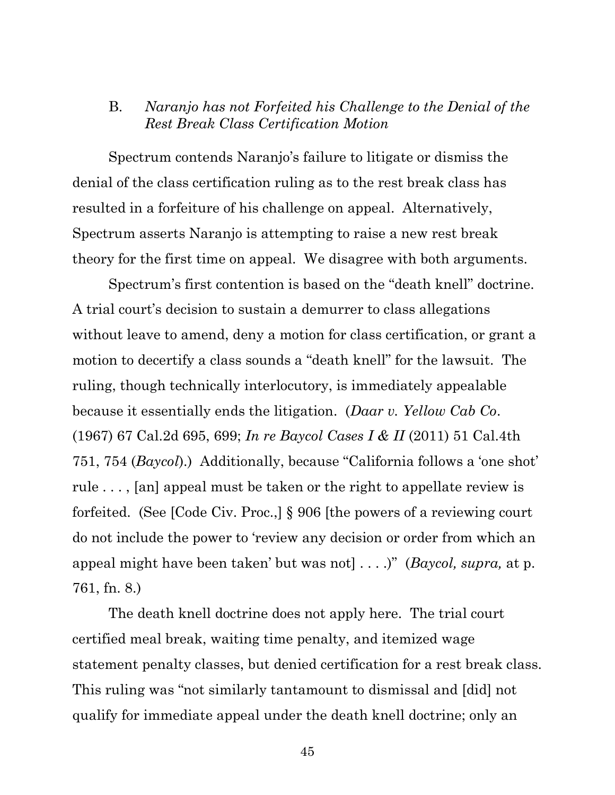# B. *Naranjo has not Forfeited his Challenge to the Denial of the Rest Break Class Certification Motion*

Spectrum contends Naranjo's failure to litigate or dismiss the denial of the class certification ruling as to the rest break class has resulted in a forfeiture of his challenge on appeal. Alternatively, Spectrum asserts Naranjo is attempting to raise a new rest break theory for the first time on appeal. We disagree with both arguments.

Spectrum's first contention is based on the "death knell" doctrine. A trial court's decision to sustain a demurrer to class allegations without leave to amend, deny a motion for class certification, or grant a motion to decertify a class sounds a "death knell" for the lawsuit. The ruling, though technically interlocutory, is immediately appealable because it essentially ends the litigation. (*Daar v. Yellow Cab Co*. (1967) 67 Cal.2d 695, 699; *In re Baycol Cases I & II* (2011) 51 Cal.4th 751, 754 (*Baycol*).) Additionally, because "California follows a 'one shot' rule . . . , [an] appeal must be taken or the right to appellate review is forfeited. (See [Code Civ. Proc.,] § 906 [the powers of a reviewing court do not include the power to 'review any decision or order from which an appeal might have been taken' but was not] . . . .)" (*Baycol, supra,* at p. 761, fn. 8.)

The death knell doctrine does not apply here. The trial court certified meal break, waiting time penalty, and itemized wage statement penalty classes, but denied certification for a rest break class. This ruling was "not similarly tantamount to dismissal and [did] not qualify for immediate appeal under the death knell doctrine; only an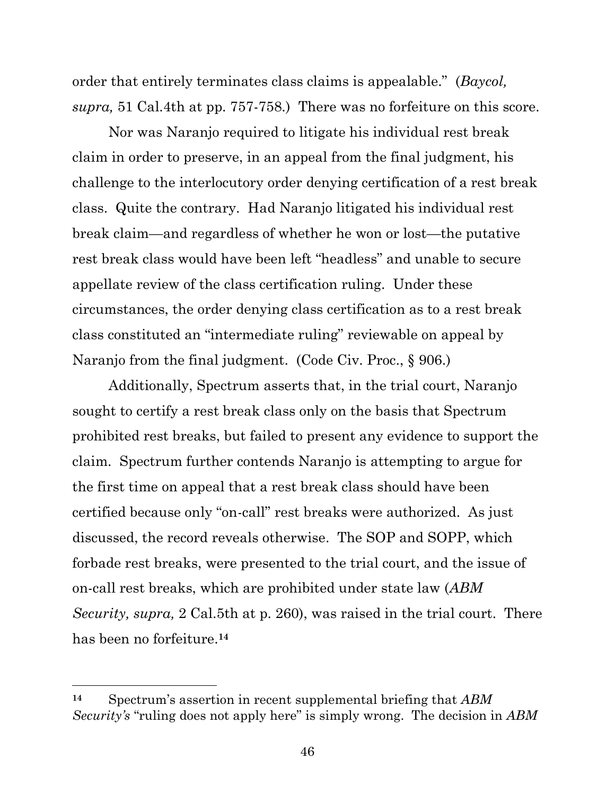order that entirely terminates class claims is appealable." (*Baycol, supra,* 51 Cal.4th at pp. 757-758.) There was no forfeiture on this score.

Nor was Naranjo required to litigate his individual rest break claim in order to preserve, in an appeal from the final judgment, his challenge to the interlocutory order denying certification of a rest break class. Quite the contrary. Had Naranjo litigated his individual rest break claim—and regardless of whether he won or lost—the putative rest break class would have been left "headless" and unable to secure appellate review of the class certification ruling. Under these circumstances, the order denying class certification as to a rest break class constituted an "intermediate ruling" reviewable on appeal by Naranjo from the final judgment. (Code Civ. Proc., § 906.)

Additionally, Spectrum asserts that, in the trial court, Naranjo sought to certify a rest break class only on the basis that Spectrum prohibited rest breaks, but failed to present any evidence to support the claim. Spectrum further contends Naranjo is attempting to argue for the first time on appeal that a rest break class should have been certified because only "on-call" rest breaks were authorized. As just discussed, the record reveals otherwise. The SOP and SOPP, which forbade rest breaks, were presented to the trial court, and the issue of on-call rest breaks, which are prohibited under state law (*ABM Security, supra,* 2 Cal.5th at p. 260), was raised in the trial court. There has been no forfeiture.**<sup>14</sup>**

**<sup>14</sup>** Spectrum's assertion in recent supplemental briefing that *ABM Security's* "ruling does not apply here" is simply wrong. The decision in *ABM*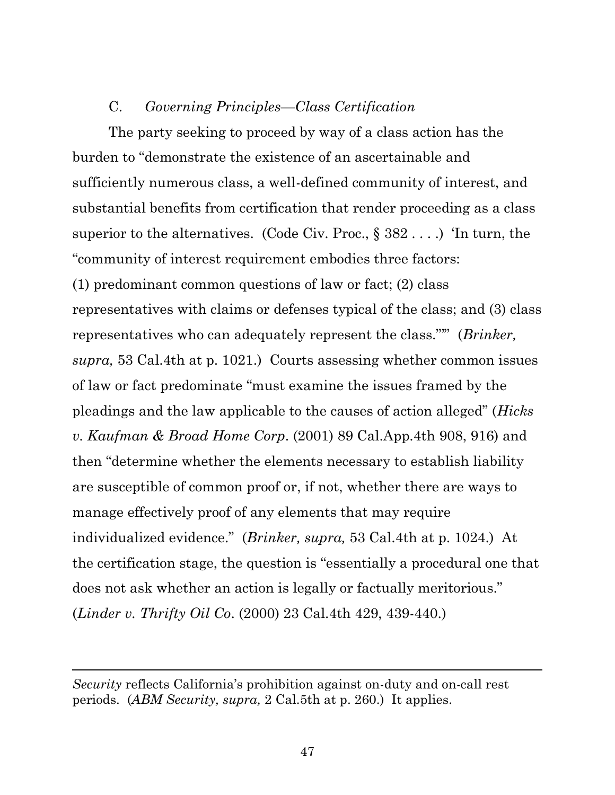## C. *Governing Principles—Class Certification*

The party seeking to proceed by way of a class action has the burden to "demonstrate the existence of an ascertainable and sufficiently numerous class, a well-defined community of interest, and substantial benefits from certification that render proceeding as a class superior to the alternatives. (Code Civ. Proc.,  $\S 382 \ldots$ .) Tn turn, the "community of interest requirement embodies three factors: (1) predominant common questions of law or fact; (2) class representatives with claims or defenses typical of the class; and (3) class representatives who can adequately represent the class."'" (*Brinker, supra,* 53 Cal.4th at p. 1021.) Courts assessing whether common issues of law or fact predominate "must examine the issues framed by the pleadings and the law applicable to the causes of action alleged" (*Hicks v. Kaufman & Broad Home Corp*. (2001) 89 Cal.App.4th 908, 916) and then "determine whether the elements necessary to establish liability are susceptible of common proof or, if not, whether there are ways to manage effectively proof of any elements that may require individualized evidence." (*Brinker, supra,* 53 Cal.4th at p. 1024.) At the certification stage, the question is "essentially a procedural one that does not ask whether an action is legally or factually meritorious." (*Linder v. Thrifty Oil Co*. (2000) 23 Cal.4th 429, 439-440.)

*Security* reflects California's prohibition against on-duty and on-call rest periods. (*ABM Security, supra,* 2 Cal.5th at p. 260.) It applies.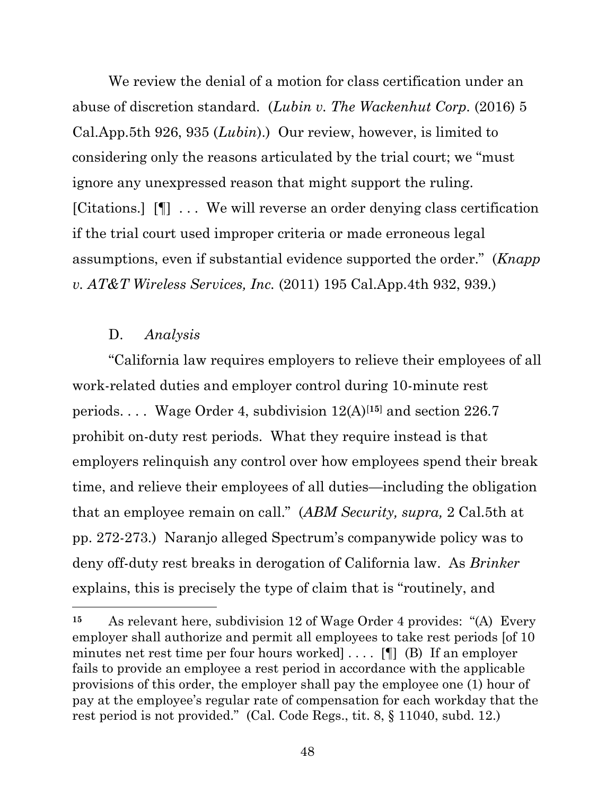We review the denial of a motion for class certification under an abuse of discretion standard. (*Lubin v. The Wackenhut Corp.* (2016) 5 Cal.App.5th 926, 935 (*Lubin*).) Our review, however, is limited to considering only the reasons articulated by the trial court; we "must ignore any unexpressed reason that might support the ruling. [Citations.] [¶] . . . We will reverse an order denying class certification if the trial court used improper criteria or made erroneous legal assumptions, even if substantial evidence supported the order." (*Knapp v. AT&T Wireless Services, Inc.* (2011) 195 Cal.App.4th 932, 939.)

## D. *Analysis*

"California law requires employers to relieve their employees of all work-related duties and employer control during 10-minute rest periods. . . . Wage Order 4, subdivision 12(A)[**15**] and section 226.7 prohibit on-duty rest periods. What they require instead is that employers relinquish any control over how employees spend their break time, and relieve their employees of all duties—including the obligation that an employee remain on call." (*ABM Security, supra,* 2 Cal.5th at pp. 272-273.) Naranjo alleged Spectrum's companywide policy was to deny off-duty rest breaks in derogation of California law. As *Brinker*  explains, this is precisely the type of claim that is "routinely, and

**<sup>15</sup>** As relevant here, subdivision 12 of Wage Order 4 provides: "(A) Every employer shall authorize and permit all employees to take rest periods [of 10 minutes net rest time per four hours worked] . . . . [¶] (B) If an employer fails to provide an employee a rest period in accordance with the applicable provisions of this order, the employer shall pay the employee one (1) hour of pay at the employee's regular rate of compensation for each workday that the rest period is not provided." (Cal. Code Regs., tit. 8, § 11040, subd. 12.)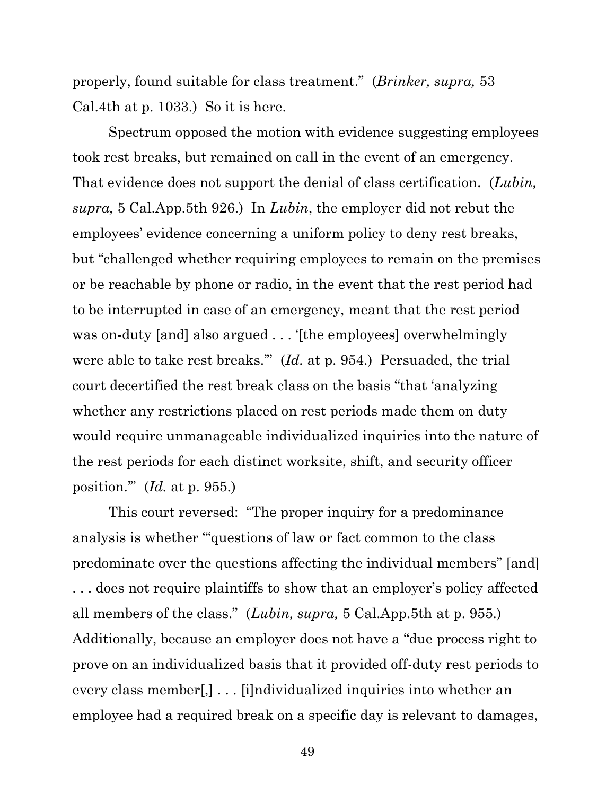properly, found suitable for class treatment." (*Brinker, supra,* 53 Cal.4th at p. 1033.) So it is here.

Spectrum opposed the motion with evidence suggesting employees took rest breaks, but remained on call in the event of an emergency. That evidence does not support the denial of class certification. (*Lubin, supra,* 5 Cal.App.5th 926.) In *Lubin*, the employer did not rebut the employees' evidence concerning a uniform policy to deny rest breaks, but "challenged whether requiring employees to remain on the premises or be reachable by phone or radio, in the event that the rest period had to be interrupted in case of an emergency, meant that the rest period was on-duty [and] also argued . . . '[the employees] overwhelmingly were able to take rest breaks.'" (*Id.* at p. 954.) Persuaded, the trial court decertified the rest break class on the basis "that 'analyzing whether any restrictions placed on rest periods made them on duty would require unmanageable individualized inquiries into the nature of the rest periods for each distinct worksite, shift, and security officer position.'" (*Id.* at p. 955.)

This court reversed: "The proper inquiry for a predominance analysis is whether '"questions of law or fact common to the class predominate over the questions affecting the individual members" [and] . . . does not require plaintiffs to show that an employer's policy affected all members of the class." (*Lubin, supra,* 5 Cal.App.5th at p. 955.) Additionally, because an employer does not have a "due process right to prove on an individualized basis that it provided off-duty rest periods to every class member[,] . . . [i]ndividualized inquiries into whether an employee had a required break on a specific day is relevant to damages,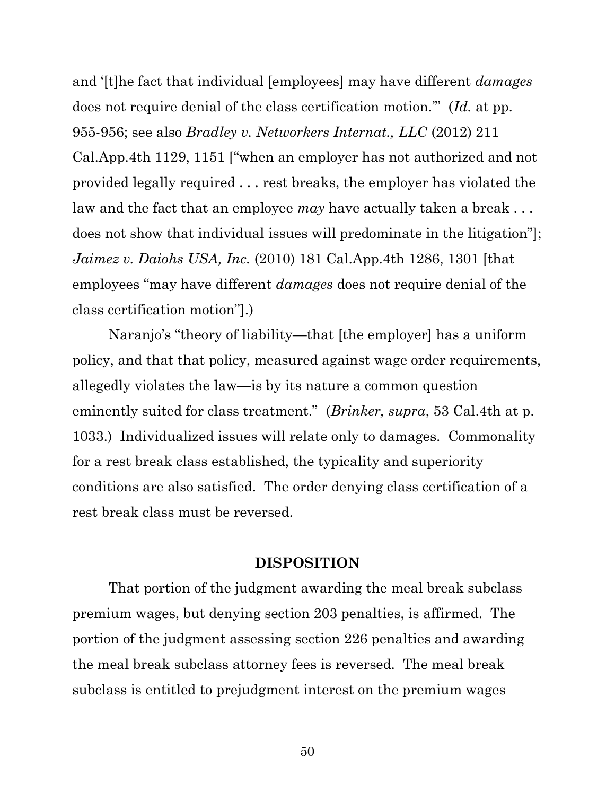and '[t]he fact that individual [employees] may have different *damages*  does not require denial of the class certification motion.'" (*Id.* at pp. 955-956; see also *Bradley v. Networkers Internat., LLC* (2012) 211 Cal.App.4th 1129, 1151 ["when an employer has not authorized and not provided legally required . . . rest breaks, the employer has violated the law and the fact that an employee *may* have actually taken a break . . . does not show that individual issues will predominate in the litigation"]; *Jaimez v. Daiohs USA, Inc.* (2010) 181 Cal.App.4th 1286, 1301 [that employees "may have different *damages* does not require denial of the class certification motion"].)

Naranjo's "theory of liability—that [the employer] has a uniform policy, and that that policy, measured against wage order requirements, allegedly violates the law—is by its nature a common question eminently suited for class treatment." (*Brinker, supra*, 53 Cal.4th at p. 1033.) Individualized issues will relate only to damages. Commonality for a rest break class established, the typicality and superiority conditions are also satisfied. The order denying class certification of a rest break class must be reversed.

#### **DISPOSITION**

That portion of the judgment awarding the meal break subclass premium wages, but denying section 203 penalties, is affirmed. The portion of the judgment assessing section 226 penalties and awarding the meal break subclass attorney fees is reversed. The meal break subclass is entitled to prejudgment interest on the premium wages